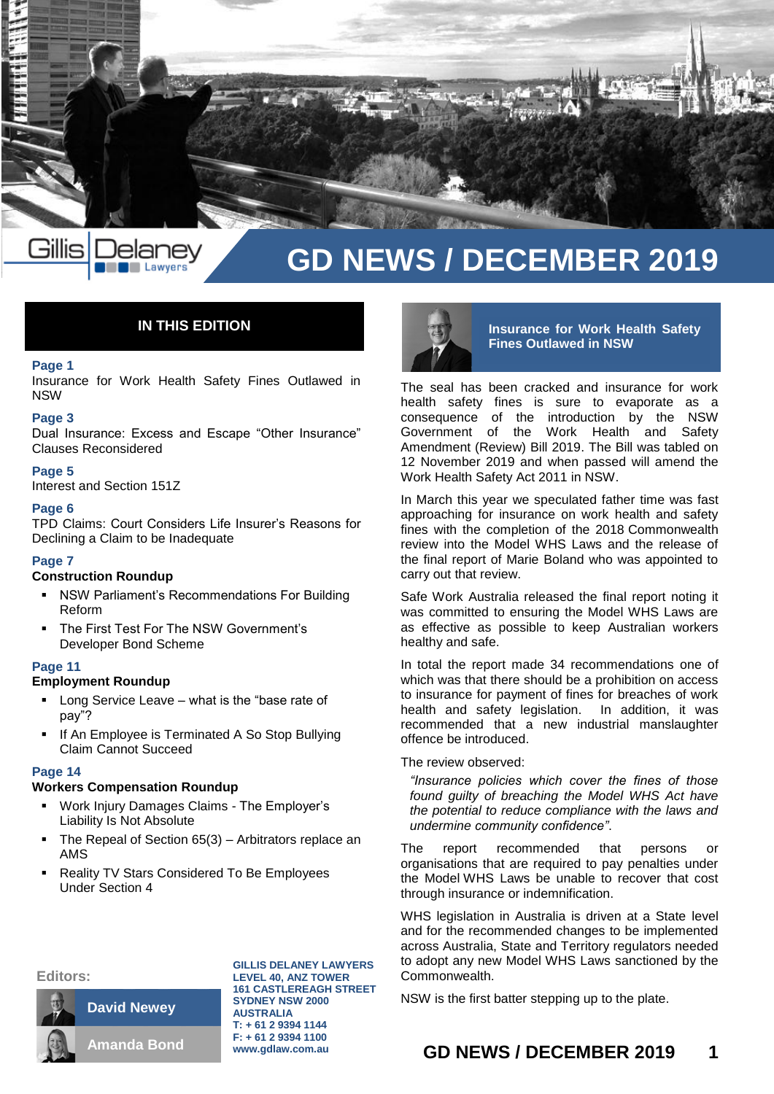

# **IN THIS EDITION**

#### **Page 1**

Insurance for Work Health Safety Fines Outlawed in NSW

## **Page 3**

Dual Insurance: Excess and Escape "Other Insurance" Clauses Reconsidered

#### **Page 5**

Interest and Section 151Z

#### **Page 6**

TPD Claims: Court Considers Life Insurer's Reasons for Declining a Claim to be Inadequate

#### **Page 7**

## **Construction Roundup**

- NSW Parliament's Recommendations For Building Reform
- The First Test For The NSW Government's Developer Bond Scheme

#### **Page 11**

#### **Employment Roundup**

- Long Service Leave what is the "base rate of pay"?
- If An Employee is Terminated A So Stop Bullying Claim Cannot Succeed

#### **Page 14**

#### **Workers Compensation Roundup**

- Work Injury Damages Claims The Employer's Liability Is Not Absolute
- The Repeal of Section 65(3) Arbitrators replace an AMS
- Reality TV Stars Considered To Be Employees Under Section 4

#### **Editors:**



**GILLIS DELANEY LAWYERS LEVEL 40, ANZ TOWER 161 CASTLEREAGH STREET SYDNEY NSW 2000 AUSTRALIA T: + 61 2 9394 1144 F: + 61 2 9394 1100 www.gdlaw.com.au**



**Insurance for Work Health Safety Fines Outlawed in NSW**

The seal has been cracked and insurance for work health safety fines is sure to evaporate as a consequence of the introduction by the NSW Government of the Work Health and Safety Amendment (Review) Bill 2019. The Bill was tabled on 12 November 2019 and when passed will amend the Work Health Safety Act 2011 in NSW.

In March this year we speculated father time was fast approaching for insurance on work health and safety fines with the completion of the 2018 Commonwealth review into the Model WHS Laws and the release of the final report of Marie Boland who was appointed to carry out that review.

Safe Work Australia released the final report noting it was committed to ensuring the Model WHS Laws are as effective as possible to keep Australian workers healthy and safe.

In total the report made 34 recommendations one of which was that there should be a prohibition on access to insurance for payment of fines for breaches of work health and safety legislation. In addition, it was recommended that a new industrial manslaughter offence be introduced.

#### The review observed:

*"Insurance policies which cover the fines of those found guilty of breaching the Model WHS Act have the potential to reduce compliance with the laws and undermine community confidence"*.

The report recommended that persons or organisations that are required to pay penalties under the Model WHS Laws be unable to recover that cost through insurance or indemnification.

WHS legislation in Australia is driven at a State level and for the recommended changes to be implemented across Australia, State and Territory regulators needed to adopt any new Model WHS Laws sanctioned by the Commonwealth.

NSW is the first batter stepping up to the plate.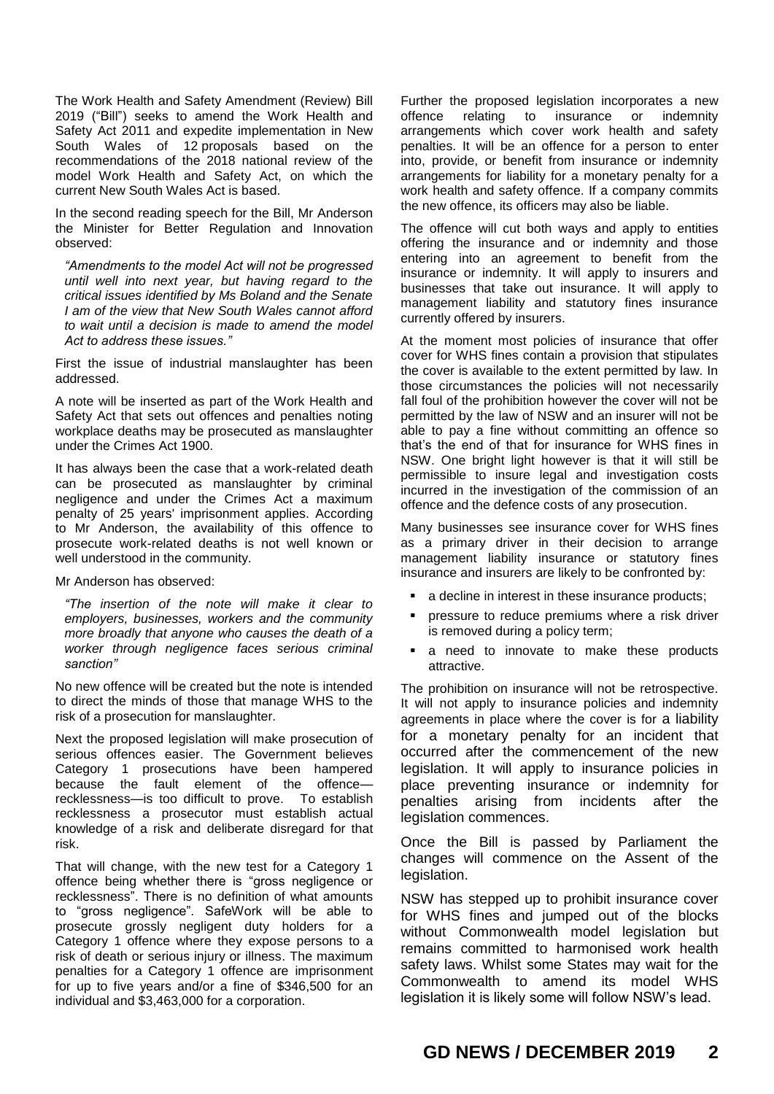The Work Health and Safety Amendment (Review) Bill 2019 ("Bill") seeks to amend the Work Health and Safety Act 2011 and expedite implementation in New South Wales of 12 proposals based on the recommendations of the 2018 national review of the model Work Health and Safety Act, on which the current New South Wales Act is based.

In the second reading speech for the Bill, Mr Anderson the Minister for Better Regulation and Innovation observed:

*"Amendments to the model Act will not be progressed until well into next year, but having regard to the critical issues identified by Ms Boland and the Senate I am of the view that New South Wales cannot afford to wait until a decision is made to amend the model Act to address these issues."* 

First the issue of industrial manslaughter has been addressed.

A note will be inserted as part of the Work Health and Safety Act that sets out offences and penalties noting workplace deaths may be prosecuted as manslaughter under the Crimes Act 1900.

It has always been the case that a work-related death can be prosecuted as manslaughter by criminal negligence and under the Crimes Act a maximum penalty of 25 years' imprisonment applies. According to Mr Anderson, the availability of this offence to prosecute work-related deaths is not well known or well understood in the community.

### Mr Anderson has observed:

*"The insertion of the note will make it clear to employers, businesses, workers and the community more broadly that anyone who causes the death of a worker through negligence faces serious criminal sanction"*

No new offence will be created but the note is intended to direct the minds of those that manage WHS to the risk of a prosecution for manslaughter.

Next the proposed legislation will make prosecution of serious offences easier. The Government believes Category 1 prosecutions have been hampered because the fault element of the offencerecklessness—is too difficult to prove. To establish recklessness a prosecutor must establish actual knowledge of a risk and deliberate disregard for that risk.

That will change, with the new test for a Category 1 offence being whether there is "gross negligence or recklessness". There is no definition of what amounts to "gross negligence". SafeWork will be able to prosecute grossly negligent duty holders for a Category 1 offence where they expose persons to a risk of death or serious injury or illness. The maximum penalties for a Category 1 offence are imprisonment for up to five years and/or a fine of \$346,500 for an individual and \$3,463,000 for a corporation.

Further the proposed legislation incorporates a new offence relating to insurance or indemnity arrangements which cover work health and safety penalties. It will be an offence for a person to enter into, provide, or benefit from insurance or indemnity arrangements for liability for a monetary penalty for a work health and safety offence. If a company commits the new offence, its officers may also be liable.

The offence will cut both ways and apply to entities offering the insurance and or indemnity and those entering into an agreement to benefit from the insurance or indemnity. It will apply to insurers and businesses that take out insurance. It will apply to management liability and statutory fines insurance currently offered by insurers.

At the moment most policies of insurance that offer cover for WHS fines contain a provision that stipulates the cover is available to the extent permitted by law. In those circumstances the policies will not necessarily fall foul of the prohibition however the cover will not be permitted by the law of NSW and an insurer will not be able to pay a fine without committing an offence so that's the end of that for insurance for WHS fines in NSW. One bright light however is that it will still be permissible to insure legal and investigation costs incurred in the investigation of the commission of an offence and the defence costs of any prosecution.

Many businesses see insurance cover for WHS fines as a primary driver in their decision to arrange management liability insurance or statutory fines insurance and insurers are likely to be confronted by:

- a decline in interest in these insurance products;
- pressure to reduce premiums where a risk driver is removed during a policy term;
- **a** need to innovate to make these products attractive.

The prohibition on insurance will not be retrospective. It will not apply to insurance policies and indemnity agreements in place where the cover is for a liability for a monetary penalty for an incident that occurred after the commencement of the new legislation. It will apply to insurance policies in place preventing insurance or indemnity for penalties arising from incidents after the legislation commences.

Once the Bill is passed by Parliament the changes will commence on the Assent of the legislation.

NSW has stepped up to prohibit insurance cover for WHS fines and jumped out of the blocks without Commonwealth model legislation but remains committed to harmonised work health safety laws. Whilst some States may wait for the Commonwealth to amend its model WHS legislation it is likely some will follow NSW's lead.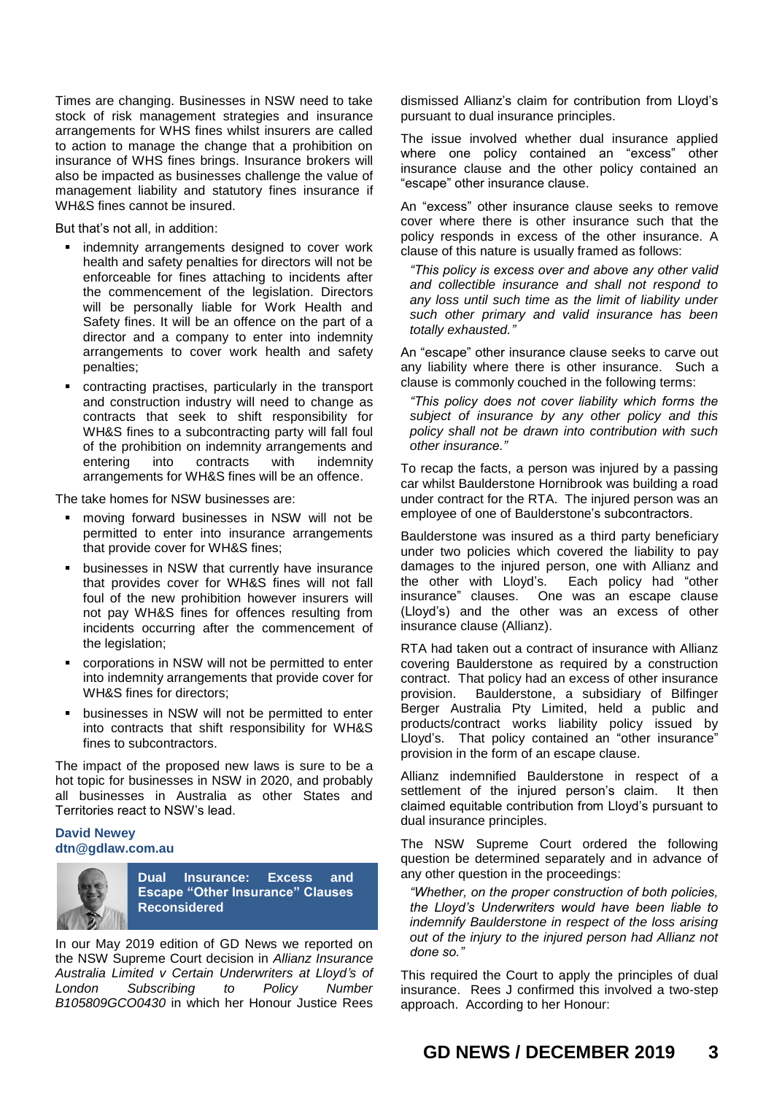Times are changing. Businesses in NSW need to take stock of risk management strategies and insurance arrangements for WHS fines whilst insurers are called to action to manage the change that a prohibition on insurance of WHS fines brings. Insurance brokers will also be impacted as businesses challenge the value of management liability and statutory fines insurance if WH&S fines cannot be insured.

But that's not all, in addition:

- **i** indemnity arrangements designed to cover work health and safety penalties for directors will not be enforceable for fines attaching to incidents after the commencement of the legislation. Directors will be personally liable for Work Health and Safety fines. It will be an offence on the part of a director and a company to enter into indemnity arrangements to cover work health and safety penalties;
- contracting practises, particularly in the transport and construction industry will need to change as contracts that seek to shift responsibility for WH&S fines to a subcontracting party will fall foul of the prohibition on indemnity arrangements and entering into contracts with indemnity arrangements for WH&S fines will be an offence.

The take homes for NSW businesses are:

- moving forward businesses in NSW will not be permitted to enter into insurance arrangements that provide cover for WH&S fines;
- businesses in NSW that currently have insurance that provides cover for WH&S fines will not fall foul of the new prohibition however insurers will not pay WH&S fines for offences resulting from incidents occurring after the commencement of the legislation;
- corporations in NSW will not be permitted to enter into indemnity arrangements that provide cover for WH&S fines for directors;
- businesses in NSW will not be permitted to enter into contracts that shift responsibility for WH&S fines to subcontractors.

The impact of the proposed new laws is sure to be a hot topic for businesses in NSW in 2020, and probably all businesses in Australia as other States and Territories react to NSW's lead.

## **David Newey dtn@gdlaw.com.au**



**Dual Insurance: Excess and Escape "Other Insurance" Clauses Reconsidered**

In our May 2019 edition of GD News we reported on the NSW Supreme Court decision in *Allianz Insurance Australia Limited v Certain Underwriters at Lloyd's of London Subscribing to Policy Number B105809GCO0430* in which her Honour Justice Rees

dismissed Allianz's claim for contribution from Lloyd's pursuant to dual insurance principles.

The issue involved whether dual insurance applied where one policy contained an "excess" other insurance clause and the other policy contained an "escape" other insurance clause.

An "excess" other insurance clause seeks to remove cover where there is other insurance such that the policy responds in excess of the other insurance. A clause of this nature is usually framed as follows:

*"This policy is excess over and above any other valid and collectible insurance and shall not respond to any loss until such time as the limit of liability under such other primary and valid insurance has been totally exhausted."* 

An "escape" other insurance clause seeks to carve out any liability where there is other insurance. Such a clause is commonly couched in the following terms:

*"This policy does not cover liability which forms the subject of insurance by any other policy and this policy shall not be drawn into contribution with such other insurance."*

To recap the facts, a person was injured by a passing car whilst Baulderstone Hornibrook was building a road under contract for the RTA. The injured person was an employee of one of Baulderstone's subcontractors.

Baulderstone was insured as a third party beneficiary under two policies which covered the liability to pay damages to the injured person, one with Allianz and the other with Lloyd's. Each policy had "other insurance" clauses. One was an escape clause (Lloyd's) and the other was an excess of other insurance clause (Allianz).

RTA had taken out a contract of insurance with Allianz covering Baulderstone as required by a construction contract. That policy had an excess of other insurance provision. Baulderstone, a subsidiary of Bilfinger Berger Australia Pty Limited, held a public and products/contract works liability policy issued by Lloyd's. That policy contained an "other insurance" provision in the form of an escape clause.

Allianz indemnified Baulderstone in respect of a settlement of the injured person's claim. It then claimed equitable contribution from Lloyd's pursuant to dual insurance principles.

The NSW Supreme Court ordered the following question be determined separately and in advance of any other question in the proceedings:

*"Whether, on the proper construction of both policies, the Lloyd's Underwriters would have been liable to indemnify Baulderstone in respect of the loss arising out of the injury to the injured person had Allianz not done so."*

This required the Court to apply the principles of dual insurance. Rees J confirmed this involved a two-step approach. According to her Honour: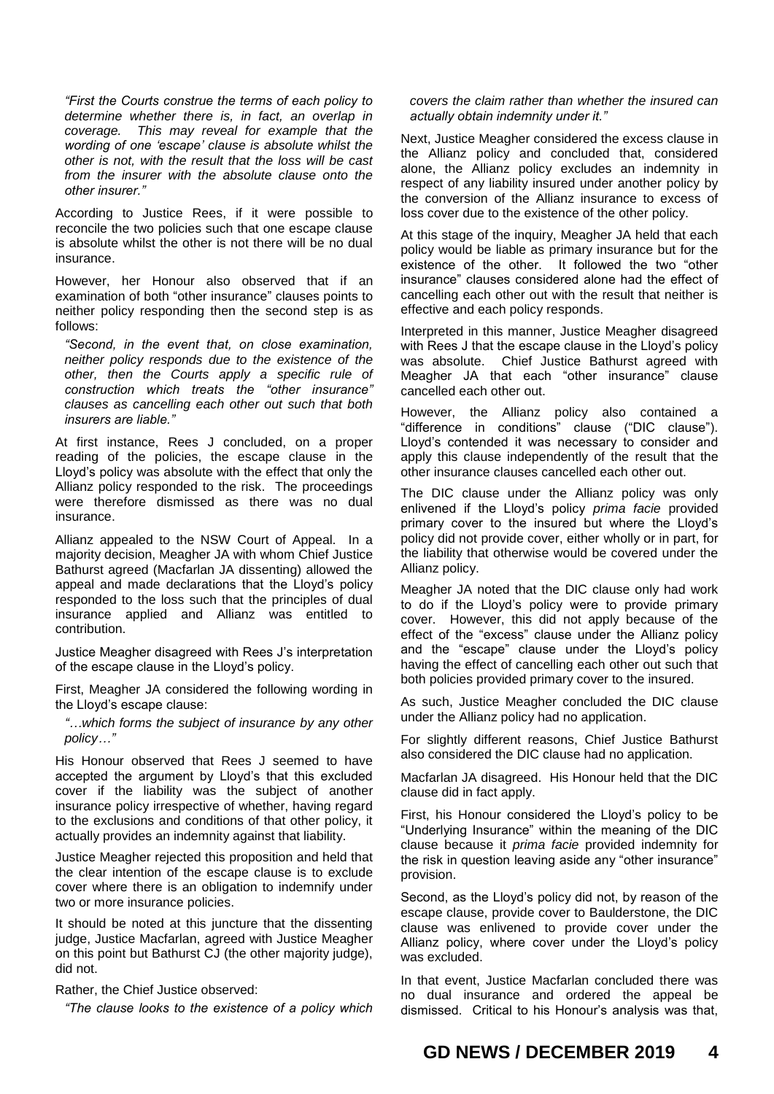*"First the Courts construe the terms of each policy to determine whether there is, in fact, an overlap in coverage. This may reveal for example that the wording of one 'escape' clause is absolute whilst the other is not, with the result that the loss will be cast from the insurer with the absolute clause onto the other insurer."*

According to Justice Rees, if it were possible to reconcile the two policies such that one escape clause is absolute whilst the other is not there will be no dual insurance.

However, her Honour also observed that if an examination of both "other insurance" clauses points to neither policy responding then the second step is as follows:

*"Second, in the event that, on close examination, neither policy responds due to the existence of the other, then the Courts apply a specific rule of construction which treats the "other insurance" clauses as cancelling each other out such that both insurers are liable."*

At first instance, Rees J concluded, on a proper reading of the policies, the escape clause in the Lloyd's policy was absolute with the effect that only the Allianz policy responded to the risk. The proceedings were therefore dismissed as there was no dual insurance.

Allianz appealed to the NSW Court of Appeal. In a majority decision, Meagher JA with whom Chief Justice Bathurst agreed (Macfarlan JA dissenting) allowed the appeal and made declarations that the Lloyd's policy responded to the loss such that the principles of dual insurance applied and Allianz was entitled to contribution.

Justice Meagher disagreed with Rees J's interpretation of the escape clause in the Lloyd's policy.

First, Meagher JA considered the following wording in the Lloyd's escape clause:

*"…which forms the subject of insurance by any other policy…"*

His Honour observed that Rees J seemed to have accepted the argument by Lloyd's that this excluded cover if the liability was the subject of another insurance policy irrespective of whether, having regard to the exclusions and conditions of that other policy, it actually provides an indemnity against that liability.

Justice Meagher rejected this proposition and held that the clear intention of the escape clause is to exclude cover where there is an obligation to indemnify under two or more insurance policies.

It should be noted at this juncture that the dissenting judge, Justice Macfarlan, agreed with Justice Meagher on this point but Bathurst CJ (the other majority judge), did not.

Rather, the Chief Justice observed:

*"The clause looks to the existence of a policy which* 

## *covers the claim rather than whether the insured can actually obtain indemnity under it."*

Next, Justice Meagher considered the excess clause in the Allianz policy and concluded that, considered alone, the Allianz policy excludes an indemnity in respect of any liability insured under another policy by the conversion of the Allianz insurance to excess of loss cover due to the existence of the other policy.

At this stage of the inquiry, Meagher JA held that each policy would be liable as primary insurance but for the existence of the other. It followed the two "other insurance" clauses considered alone had the effect of cancelling each other out with the result that neither is effective and each policy responds.

Interpreted in this manner, Justice Meagher disagreed with Rees J that the escape clause in the Lloyd's policy was absolute. Chief Justice Bathurst agreed with Meagher JA that each "other insurance" clause cancelled each other out.

However, the Allianz policy also contained a "difference in conditions" clause ("DIC clause"). Lloyd's contended it was necessary to consider and apply this clause independently of the result that the other insurance clauses cancelled each other out.

The DIC clause under the Allianz policy was only enlivened if the Lloyd's policy *prima facie* provided primary cover to the insured but where the Lloyd's policy did not provide cover, either wholly or in part, for the liability that otherwise would be covered under the Allianz policy.

Meagher JA noted that the DIC clause only had work to do if the Lloyd's policy were to provide primary cover. However, this did not apply because of the effect of the "excess" clause under the Allianz policy and the "escape" clause under the Lloyd's policy having the effect of cancelling each other out such that both policies provided primary cover to the insured.

As such, Justice Meagher concluded the DIC clause under the Allianz policy had no application.

For slightly different reasons, Chief Justice Bathurst also considered the DIC clause had no application.

Macfarlan JA disagreed. His Honour held that the DIC clause did in fact apply.

First, his Honour considered the Lloyd's policy to be "Underlying Insurance" within the meaning of the DIC clause because it *prima facie* provided indemnity for the risk in question leaving aside any "other insurance" provision.

Second, as the Lloyd's policy did not, by reason of the escape clause, provide cover to Baulderstone, the DIC clause was enlivened to provide cover under the Allianz policy, where cover under the Lloyd's policy was excluded.

In that event, Justice Macfarlan concluded there was no dual insurance and ordered the appeal be dismissed. Critical to his Honour's analysis was that,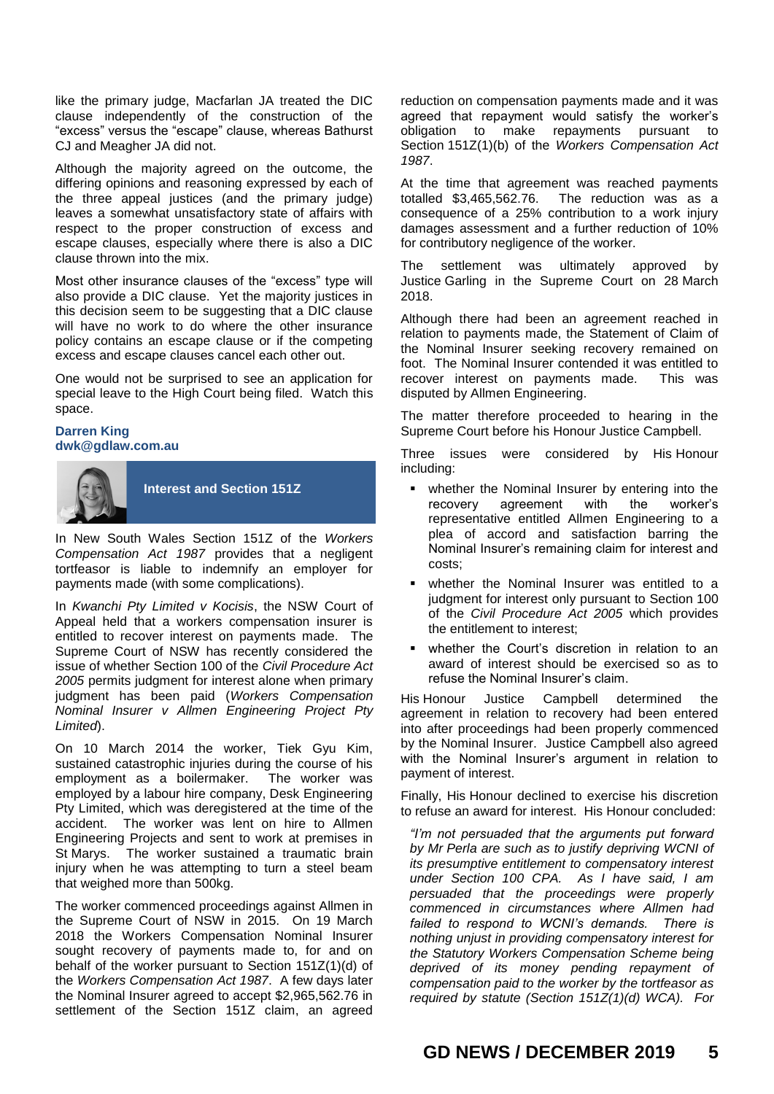like the primary judge, Macfarlan JA treated the DIC clause independently of the construction of the "excess" versus the "escape" clause, whereas Bathurst CJ and Meagher JA did not.

Although the majority agreed on the outcome, the differing opinions and reasoning expressed by each of the three appeal justices (and the primary judge) leaves a somewhat unsatisfactory state of affairs with respect to the proper construction of excess and escape clauses, especially where there is also a DIC clause thrown into the mix.

Most other insurance clauses of the "excess" type will also provide a DIC clause. Yet the majority justices in this decision seem to be suggesting that a DIC clause will have no work to do where the other insurance policy contains an escape clause or if the competing excess and escape clauses cancel each other out.

One would not be surprised to see an application for special leave to the High Court being filed. Watch this space.

### **Darren King [dwk@gdlaw.com.au](mailto:dwk@gdlaw.com.au)**



**Interest and Section 151Z**

In New South Wales Section 151Z of the *Workers Compensation Act 1987* provides that a negligent tortfeasor is liable to indemnify an employer for payments made (with some complications).

In *Kwanchi Pty Limited v Kocisis*, the NSW Court of Appeal held that a workers compensation insurer is entitled to recover interest on payments made. The Supreme Court of NSW has recently considered the issue of whether Section 100 of the *Civil Procedure Act 2005* permits judgment for interest alone when primary judgment has been paid (*Workers Compensation Nominal Insurer v Allmen Engineering Project Pty Limited*).

On 10 March 2014 the worker, Tiek Gyu Kim, sustained catastrophic injuries during the course of his employment as a boilermaker. The worker was employed by a labour hire company, Desk Engineering Pty Limited, which was deregistered at the time of the accident. The worker was lent on hire to Allmen Engineering Projects and sent to work at premises in St Marys. The worker sustained a traumatic brain injury when he was attempting to turn a steel beam that weighed more than 500kg.

The worker commenced proceedings against Allmen in the Supreme Court of NSW in 2015. On 19 March 2018 the Workers Compensation Nominal Insurer sought recovery of payments made to, for and on behalf of the worker pursuant to Section 151Z(1)(d) of the *Workers Compensation Act 1987*. A few days later the Nominal Insurer agreed to accept \$2,965,562.76 in settlement of the Section 151Z claim, an agreed

reduction on compensation payments made and it was agreed that repayment would satisfy the worker's obligation to make repayments pursuant to Section 151Z(1)(b) of the *Workers Compensation Act 1987*.

At the time that agreement was reached payments totalled \$3,465,562.76. The reduction was as a consequence of a 25% contribution to a work injury damages assessment and a further reduction of 10% for contributory negligence of the worker.

The settlement was ultimately approved by Justice Garling in the Supreme Court on 28 March 2018.

Although there had been an agreement reached in relation to payments made, the Statement of Claim of the Nominal Insurer seeking recovery remained on foot. The Nominal Insurer contended it was entitled to recover interest on payments made. This was disputed by Allmen Engineering.

The matter therefore proceeded to hearing in the Supreme Court before his Honour Justice Campbell.

Three issues were considered by His Honour including:

- **•** whether the Nominal Insurer by entering into the recovery agreement with the worker's representative entitled Allmen Engineering to a plea of accord and satisfaction barring the Nominal Insurer's remaining claim for interest and costs;
- whether the Nominal Insurer was entitled to a judgment for interest only pursuant to Section 100 of the *Civil Procedure Act 2005* which provides the entitlement to interest;
- whether the Court's discretion in relation to an award of interest should be exercised so as to refuse the Nominal Insurer's claim.

His Honour Justice Campbell determined the agreement in relation to recovery had been entered into after proceedings had been properly commenced by the Nominal Insurer. Justice Campbell also agreed with the Nominal Insurer's argument in relation to payment of interest.

Finally, His Honour declined to exercise his discretion to refuse an award for interest. His Honour concluded:

*"I'm not persuaded that the arguments put forward by Mr Perla are such as to justify depriving WCNI of its presumptive entitlement to compensatory interest under Section 100 CPA. As I have said, I am persuaded that the proceedings were properly commenced in circumstances where Allmen had failed to respond to WCNI's demands. There is nothing unjust in providing compensatory interest for the Statutory Workers Compensation Scheme being deprived of its money pending repayment of compensation paid to the worker by the tortfeasor as required by statute (Section 151Z(1)(d) WCA). For*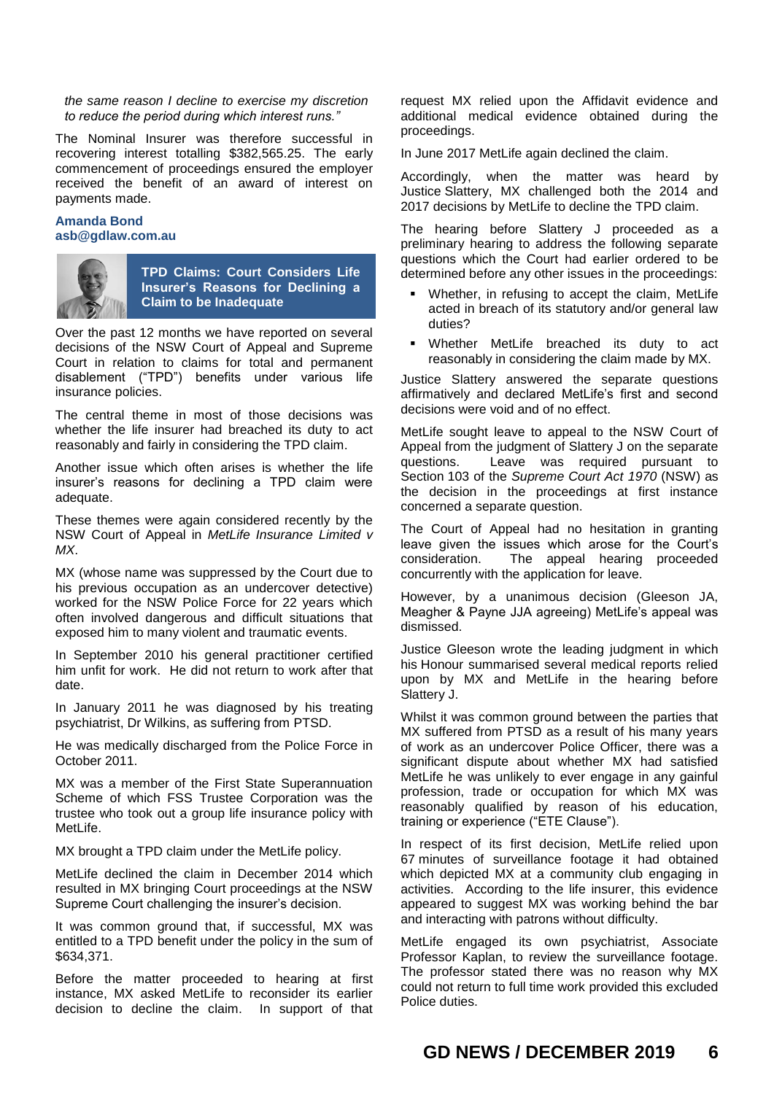#### *the same reason I decline to exercise my discretion to reduce the period during which interest runs."*

The Nominal Insurer was therefore successful in recovering interest totalling \$382,565.25. The early commencement of proceedings ensured the employer received the benefit of an award of interest on payments made.

#### **Amanda Bond asb@gdlaw.com.au**



**TPD Claims: Court Considers Life Insurer's Reasons for Declining a Claim to be Inadequate**

Over the past 12 months we have reported on several decisions of the NSW Court of Appeal and Supreme Court in relation to claims for total and permanent disablement ("TPD") benefits under various life insurance policies.

The central theme in most of those decisions was whether the life insurer had breached its duty to act reasonably and fairly in considering the TPD claim.

Another issue which often arises is whether the life insurer's reasons for declining a TPD claim were adequate.

These themes were again considered recently by the NSW Court of Appeal in *MetLife Insurance Limited v MX*.

MX (whose name was suppressed by the Court due to his previous occupation as an undercover detective) worked for the NSW Police Force for 22 years which often involved dangerous and difficult situations that exposed him to many violent and traumatic events.

In September 2010 his general practitioner certified him unfit for work. He did not return to work after that date.

In January 2011 he was diagnosed by his treating psychiatrist, Dr Wilkins, as suffering from PTSD.

He was medically discharged from the Police Force in October 2011.

MX was a member of the First State Superannuation Scheme of which FSS Trustee Corporation was the trustee who took out a group life insurance policy with MetLife.

MX brought a TPD claim under the MetLife policy.

MetLife declined the claim in December 2014 which resulted in MX bringing Court proceedings at the NSW Supreme Court challenging the insurer's decision.

It was common ground that, if successful, MX was entitled to a TPD benefit under the policy in the sum of \$634,371.

Before the matter proceeded to hearing at first instance, MX asked MetLife to reconsider its earlier decision to decline the claim. In support of that request MX relied upon the Affidavit evidence and additional medical evidence obtained during the proceedings.

In June 2017 MetLife again declined the claim.

Accordingly, when the matter was heard by Justice Slattery, MX challenged both the 2014 and 2017 decisions by MetLife to decline the TPD claim.

The hearing before Slattery J proceeded as a preliminary hearing to address the following separate questions which the Court had earlier ordered to be determined before any other issues in the proceedings:

- Whether, in refusing to accept the claim, MetLife acted in breach of its statutory and/or general law duties?
- Whether MetLife breached its duty to act reasonably in considering the claim made by MX.

Justice Slattery answered the separate questions affirmatively and declared MetLife's first and second decisions were void and of no effect.

MetLife sought leave to appeal to the NSW Court of Appeal from the judgment of Slattery J on the separate questions. Leave was required pursuant to Section 103 of the *Supreme Court Act 1970* (NSW) as the decision in the proceedings at first instance concerned a separate question.

The Court of Appeal had no hesitation in granting leave given the issues which arose for the Court's consideration. The appeal hearing proceeded concurrently with the application for leave.

However, by a unanimous decision (Gleeson JA, Meagher & Payne JJA agreeing) MetLife's appeal was dismissed.

Justice Gleeson wrote the leading judgment in which his Honour summarised several medical reports relied upon by MX and MetLife in the hearing before Slattery J.

Whilst it was common ground between the parties that MX suffered from PTSD as a result of his many years of work as an undercover Police Officer, there was a significant dispute about whether MX had satisfied MetLife he was unlikely to ever engage in any gainful profession, trade or occupation for which MX was reasonably qualified by reason of his education, training or experience ("ETE Clause").

In respect of its first decision, MetLife relied upon 67 minutes of surveillance footage it had obtained which depicted MX at a community club engaging in activities. According to the life insurer, this evidence appeared to suggest MX was working behind the bar and interacting with patrons without difficulty.

MetLife engaged its own psychiatrist, Associate Professor Kaplan, to review the surveillance footage. The professor stated there was no reason why MX could not return to full time work provided this excluded Police duties.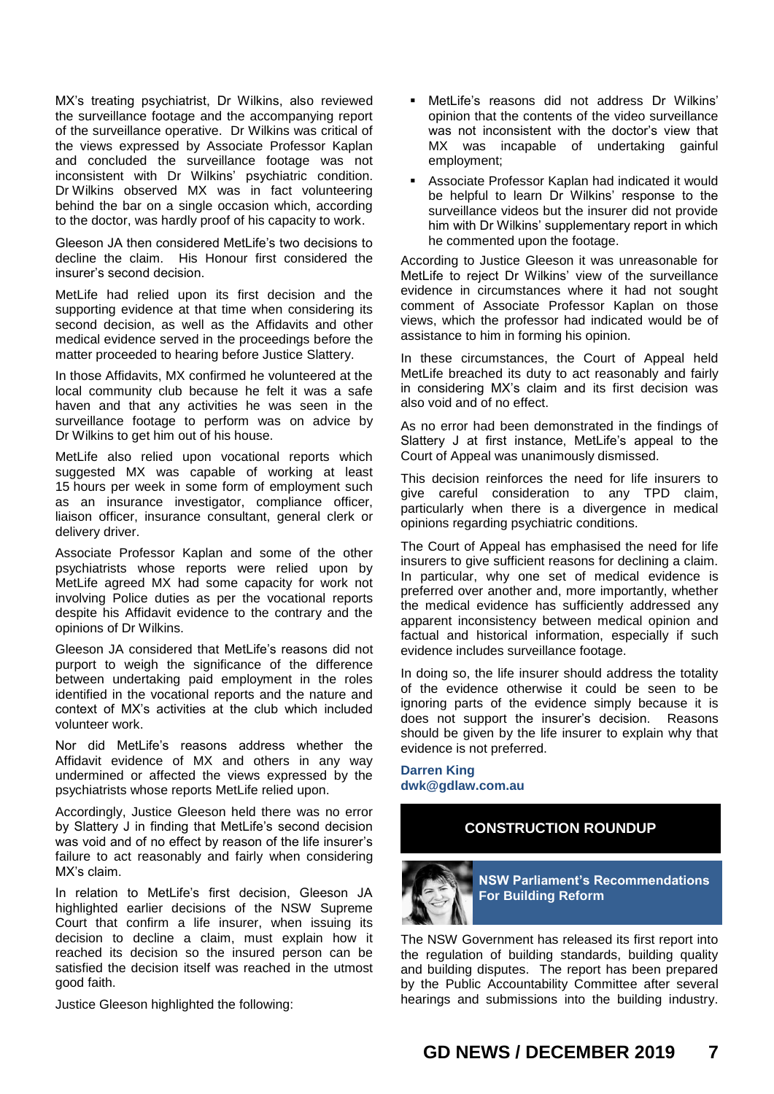MX's treating psychiatrist, Dr Wilkins, also reviewed the surveillance footage and the accompanying report of the surveillance operative. Dr Wilkins was critical of the views expressed by Associate Professor Kaplan and concluded the surveillance footage was not inconsistent with Dr Wilkins' psychiatric condition. Dr Wilkins observed MX was in fact volunteering behind the bar on a single occasion which, according to the doctor, was hardly proof of his capacity to work.

Gleeson JA then considered MetLife's two decisions to decline the claim. His Honour first considered the insurer's second decision.

MetLife had relied upon its first decision and the supporting evidence at that time when considering its second decision, as well as the Affidavits and other medical evidence served in the proceedings before the matter proceeded to hearing before Justice Slattery.

In those Affidavits, MX confirmed he volunteered at the local community club because he felt it was a safe haven and that any activities he was seen in the surveillance footage to perform was on advice by Dr Wilkins to get him out of his house.

MetLife also relied upon vocational reports which suggested MX was capable of working at least 15 hours per week in some form of employment such as an insurance investigator, compliance officer, liaison officer, insurance consultant, general clerk or delivery driver.

Associate Professor Kaplan and some of the other psychiatrists whose reports were relied upon by MetLife agreed MX had some capacity for work not involving Police duties as per the vocational reports despite his Affidavit evidence to the contrary and the opinions of Dr Wilkins.

Gleeson JA considered that MetLife's reasons did not purport to weigh the significance of the difference between undertaking paid employment in the roles identified in the vocational reports and the nature and context of MX's activities at the club which included volunteer work.

Nor did MetLife's reasons address whether the Affidavit evidence of MX and others in any way undermined or affected the views expressed by the psychiatrists whose reports MetLife relied upon.

Accordingly, Justice Gleeson held there was no error by Slattery J in finding that MetLife's second decision was void and of no effect by reason of the life insurer's failure to act reasonably and fairly when considering MX's claim.

In relation to MetLife's first decision, Gleeson JA highlighted earlier decisions of the NSW Supreme Court that confirm a life insurer, when issuing its decision to decline a claim, must explain how it reached its decision so the insured person can be satisfied the decision itself was reached in the utmost good faith.

Justice Gleeson highlighted the following:

- MetLife's reasons did not address Dr Wilkins' opinion that the contents of the video surveillance was not inconsistent with the doctor's view that MX was incapable of undertaking gainful employment;
- Associate Professor Kaplan had indicated it would be helpful to learn Dr Wilkins' response to the surveillance videos but the insurer did not provide him with Dr Wilkins' supplementary report in which he commented upon the footage.

According to Justice Gleeson it was unreasonable for MetLife to reject Dr Wilkins' view of the surveillance evidence in circumstances where it had not sought comment of Associate Professor Kaplan on those views, which the professor had indicated would be of assistance to him in forming his opinion.

In these circumstances, the Court of Appeal held MetLife breached its duty to act reasonably and fairly in considering MX's claim and its first decision was also void and of no effect.

As no error had been demonstrated in the findings of Slattery J at first instance, MetLife's appeal to the Court of Appeal was unanimously dismissed.

This decision reinforces the need for life insurers to give careful consideration to any TPD claim, particularly when there is a divergence in medical opinions regarding psychiatric conditions.

The Court of Appeal has emphasised the need for life insurers to give sufficient reasons for declining a claim. In particular, why one set of medical evidence is preferred over another and, more importantly, whether the medical evidence has sufficiently addressed any apparent inconsistency between medical opinion and factual and historical information, especially if such evidence includes surveillance footage.

In doing so, the life insurer should address the totality of the evidence otherwise it could be seen to be ignoring parts of the evidence simply because it is does not support the insurer's decision. Reasons should be given by the life insurer to explain why that evidence is not preferred.

**Darren King [dwk@gdlaw.com.au](mailto:dwk@gdlaw.com.au)**

# **CONSTRUCTION ROUNDUP**



**NSW Parliament's Recommendations For Building Reform**

The NSW Government has released its first report into the regulation of building standards, building quality and building disputes. The report has been prepared by the Public Accountability Committee after several hearings and submissions into the building industry.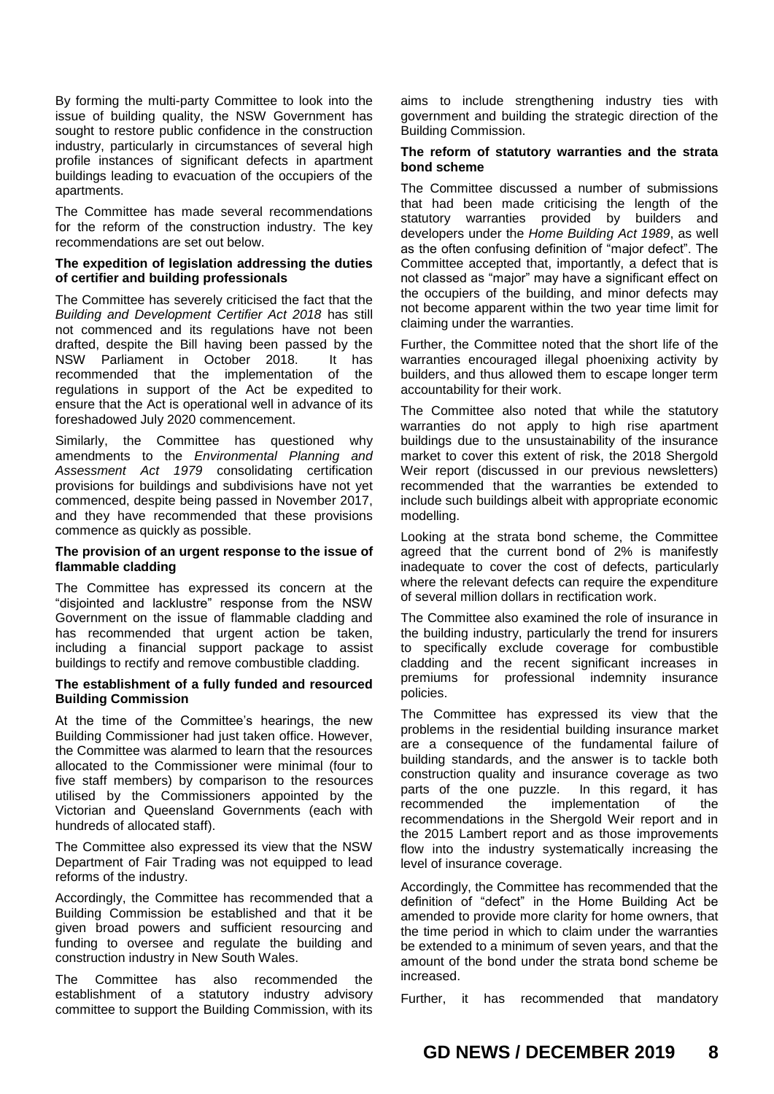By forming the multi-party Committee to look into the issue of building quality, the NSW Government has sought to restore public confidence in the construction industry, particularly in circumstances of several high profile instances of significant defects in apartment buildings leading to evacuation of the occupiers of the apartments.

The Committee has made several recommendations for the reform of the construction industry. The key recommendations are set out below.

## **The expedition of legislation addressing the duties of certifier and building professionals**

The Committee has severely criticised the fact that the *Building and Development Certifier Act 2018* has still not commenced and its regulations have not been drafted, despite the Bill having been passed by the NSW Parliament in October 2018. It has recommended that the implementation of the regulations in support of the Act be expedited to ensure that the Act is operational well in advance of its foreshadowed July 2020 commencement.

Similarly, the Committee has questioned why amendments to the *Environmental Planning and Assessment Act 1979* consolidating certification provisions for buildings and subdivisions have not yet commenced, despite being passed in November 2017, and they have recommended that these provisions commence as quickly as possible.

### **The provision of an urgent response to the issue of flammable cladding**

The Committee has expressed its concern at the "disjointed and lacklustre" response from the NSW Government on the issue of flammable cladding and has recommended that urgent action be taken, including a financial support package to assist buildings to rectify and remove combustible cladding.

#### **The establishment of a fully funded and resourced Building Commission**

At the time of the Committee's hearings, the new Building Commissioner had just taken office. However, the Committee was alarmed to learn that the resources allocated to the Commissioner were minimal (four to five staff members) by comparison to the resources utilised by the Commissioners appointed by the Victorian and Queensland Governments (each with hundreds of allocated staff).

The Committee also expressed its view that the NSW Department of Fair Trading was not equipped to lead reforms of the industry.

Accordingly, the Committee has recommended that a Building Commission be established and that it be given broad powers and sufficient resourcing and funding to oversee and regulate the building and construction industry in New South Wales.

The Committee has also recommended the establishment of a statutory industry advisory committee to support the Building Commission, with its aims to include strengthening industry ties with government and building the strategic direction of the Building Commission.

## **The reform of statutory warranties and the strata bond scheme**

The Committee discussed a number of submissions that had been made criticising the length of the statutory warranties provided by builders and developers under the *Home Building Act 1989*, as well as the often confusing definition of "major defect". The Committee accepted that, importantly, a defect that is not classed as "major" may have a significant effect on the occupiers of the building, and minor defects may not become apparent within the two year time limit for claiming under the warranties.

Further, the Committee noted that the short life of the warranties encouraged illegal phoenixing activity by builders, and thus allowed them to escape longer term accountability for their work.

The Committee also noted that while the statutory warranties do not apply to high rise apartment buildings due to the unsustainability of the insurance market to cover this extent of risk, the 2018 Shergold Weir report (discussed in our previous newsletters) recommended that the warranties be extended to include such buildings albeit with appropriate economic modelling.

Looking at the strata bond scheme, the Committee agreed that the current bond of 2% is manifestly inadequate to cover the cost of defects, particularly where the relevant defects can require the expenditure of several million dollars in rectification work.

The Committee also examined the role of insurance in the building industry, particularly the trend for insurers to specifically exclude coverage for combustible cladding and the recent significant increases in premiums for professional indemnity insurance policies.

The Committee has expressed its view that the problems in the residential building insurance market are a consequence of the fundamental failure of building standards, and the answer is to tackle both construction quality and insurance coverage as two parts of the one puzzle. In this regard, it has recommended the implementation of the recommendations in the Shergold Weir report and in the 2015 Lambert report and as those improvements flow into the industry systematically increasing the level of insurance coverage.

Accordingly, the Committee has recommended that the definition of "defect" in the Home Building Act be amended to provide more clarity for home owners, that the time period in which to claim under the warranties be extended to a minimum of seven years, and that the amount of the bond under the strata bond scheme be increased.

Further, it has recommended that mandatory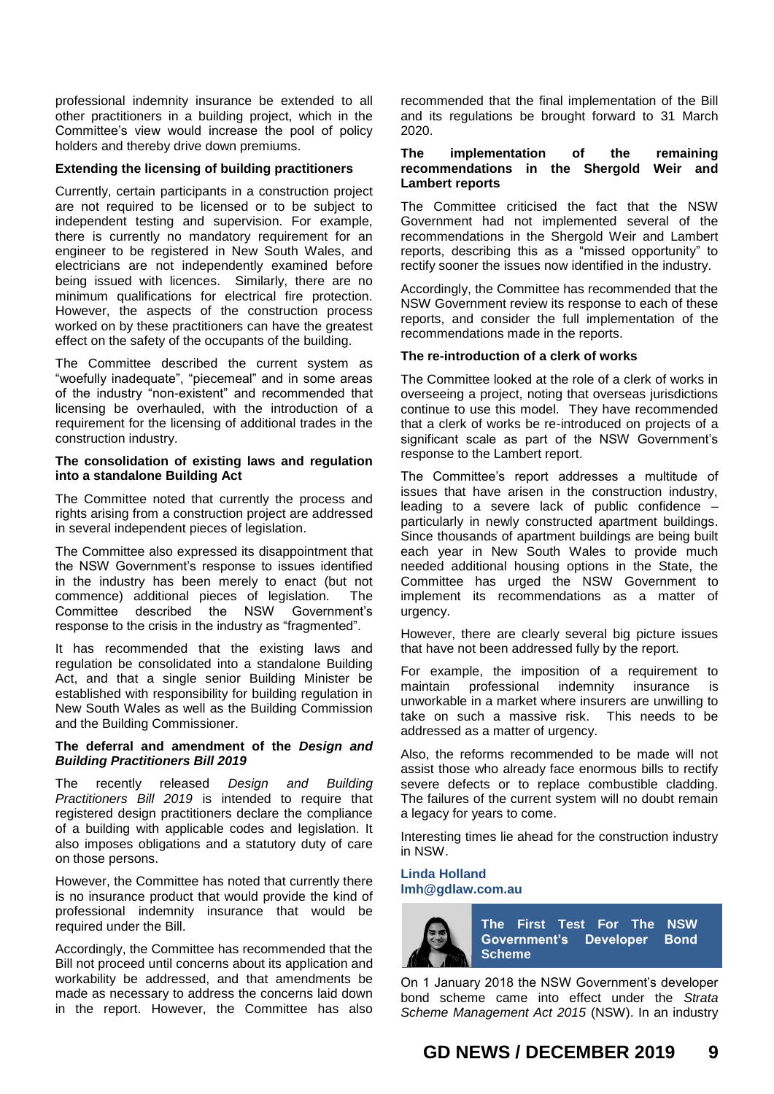professional indemnity insurance be extended to all other practitioners in a building project, which in the Committee's view would increase the pool of policy holders and thereby drive down premiums.

## **Extending the licensing of building practitioners**

Currently, certain participants in a construction project are not required to be licensed or to be subject to independent testing and supervision. For example, there is currently no mandatory requirement for an engineer to be registered in New South Wales, and electricians are not independently examined before being issued with licences. Similarly, there are no minimum qualifications for electrical fire protection. However, the aspects of the construction process worked on by these practitioners can have the greatest effect on the safety of the occupants of the building.

The Committee described the current system as "woefully inadequate", "piecemeal" and in some areas of the industry "non-existent" and recommended that licensing be overhauled, with the introduction of a requirement for the licensing of additional trades in the construction industry.

#### **The consolidation of existing laws and regulation into a standalone Building Act**

The Committee noted that currently the process and rights arising from a construction project are addressed in several independent pieces of legislation.

The Committee also expressed its disappointment that the NSW Government's response to issues identified in the industry has been merely to enact (but not commence) additional pieces of legislation. The Committee described the NSW Government's response to the crisis in the industry as "fragmented".

It has recommended that the existing laws and regulation be consolidated into a standalone Building Act, and that a single senior Building Minister be established with responsibility for building regulation in New South Wales as well as the Building Commission and the Building Commissioner.

## **The deferral and amendment of the** *Design and Building Practitioners Bill 2019*

The recently released *Design and Building Practitioners Bill 2019* is intended to require that registered design practitioners declare the compliance of a building with applicable codes and legislation. It also imposes obligations and a statutory duty of care on those persons.

However, the Committee has noted that currently there is no insurance product that would provide the kind of professional indemnity insurance that would be required under the Bill.

Accordingly, the Committee has recommended that the Bill not proceed until concerns about its application and workability be addressed, and that amendments be made as necessary to address the concerns laid down in the report. However, the Committee has also

recommended that the final implementation of the Bill and its regulations be brought forward to 31 March 2020.

## **The implementation of the remaining recommendations in the Shergold Weir and Lambert reports**

The Committee criticised the fact that the NSW Government had not implemented several of the recommendations in the Shergold Weir and Lambert reports, describing this as a "missed opportunity" to rectify sooner the issues now identified in the industry.

Accordingly, the Committee has recommended that the NSW Government review its response to each of these reports, and consider the full implementation of the recommendations made in the reports.

## **The re-introduction of a clerk of works**

The Committee looked at the role of a clerk of works in overseeing a project, noting that overseas jurisdictions continue to use this model. They have recommended that a clerk of works be re-introduced on projects of a significant scale as part of the NSW Government's response to the Lambert report.

The Committee's report addresses a multitude of issues that have arisen in the construction industry, leading to a severe lack of public confidence – particularly in newly constructed apartment buildings. Since thousands of apartment buildings are being built each year in New South Wales to provide much needed additional housing options in the State, the Committee has urged the NSW Government to implement its recommendations as a matter of urgency.

However, there are clearly several big picture issues that have not been addressed fully by the report.

For example, the imposition of a requirement to maintain professional indemnity insurance is unworkable in a market where insurers are unwilling to take on such a massive risk. This needs to be addressed as a matter of urgency.

Also, the reforms recommended to be made will not assist those who already face enormous bills to rectify severe defects or to replace combustible cladding. The failures of the current system will no doubt remain a legacy for years to come.

Interesting times lie ahead for the construction industry in NSW.

## **Linda Holland [lmh@gdlaw.com.au](mailto:lmh@gdlaw.com.au)**



On 1 January 2018 the NSW Government's developer bond scheme came into effect under the *Strata Scheme Management Act 2015* (NSW). In an industry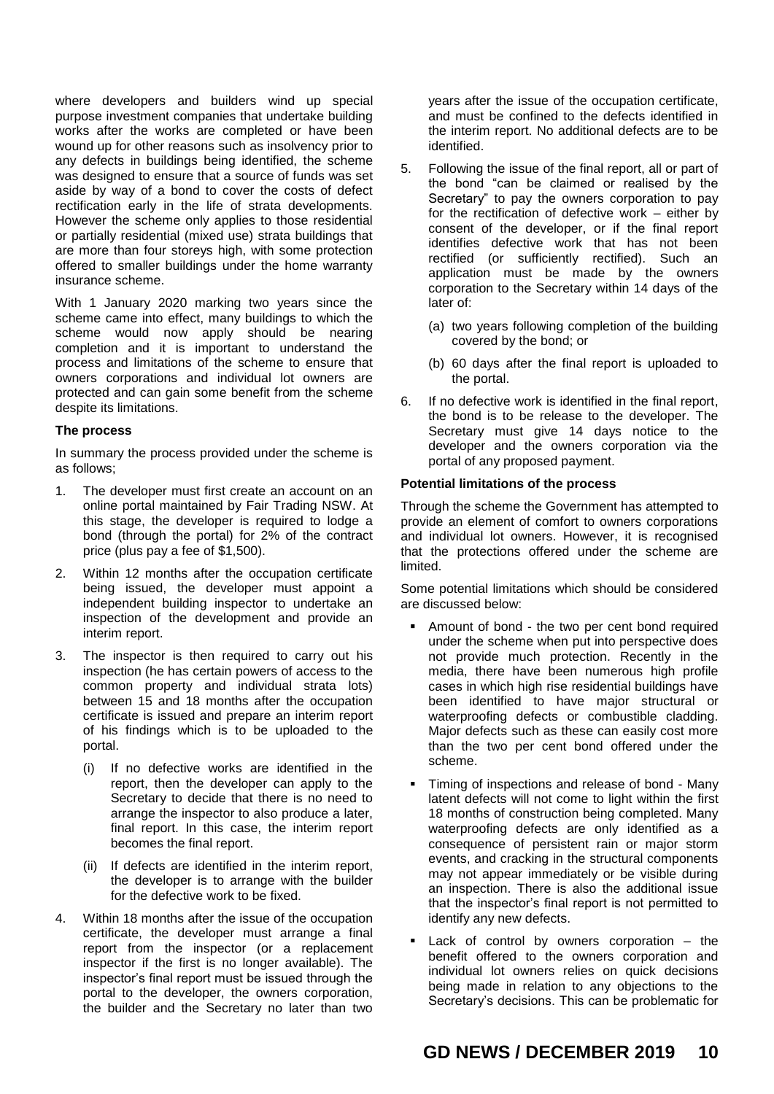where developers and builders wind up special purpose investment companies that undertake building works after the works are completed or have been wound up for other reasons such as insolvency prior to any defects in buildings being identified, the scheme was designed to ensure that a source of funds was set aside by way of a bond to cover the costs of defect rectification early in the life of strata developments. However the scheme only applies to those residential or partially residential (mixed use) strata buildings that are more than four storeys high, with some protection offered to smaller buildings under the home warranty insurance scheme.

With 1 January 2020 marking two years since the scheme came into effect, many buildings to which the scheme would now apply should be nearing completion and it is important to understand the process and limitations of the scheme to ensure that owners corporations and individual lot owners are protected and can gain some benefit from the scheme despite its limitations.

## **The process**

In summary the process provided under the scheme is as follows;

- 1. The developer must first create an account on an online portal maintained by Fair Trading NSW. At this stage, the developer is required to lodge a bond (through the portal) for 2% of the contract price (plus pay a fee of \$1,500).
- 2. Within 12 months after the occupation certificate being issued, the developer must appoint a independent building inspector to undertake an inspection of the development and provide an interim report.
- 3. The inspector is then required to carry out his inspection (he has certain powers of access to the common property and individual strata lots) between 15 and 18 months after the occupation certificate is issued and prepare an interim report of his findings which is to be uploaded to the portal.
	- (i) If no defective works are identified in the report, then the developer can apply to the Secretary to decide that there is no need to arrange the inspector to also produce a later, final report. In this case, the interim report becomes the final report.
	- (ii) If defects are identified in the interim report, the developer is to arrange with the builder for the defective work to be fixed.
- 4. Within 18 months after the issue of the occupation certificate, the developer must arrange a final report from the inspector (or a replacement inspector if the first is no longer available). The inspector's final report must be issued through the portal to the developer, the owners corporation, the builder and the Secretary no later than two

years after the issue of the occupation certificate, and must be confined to the defects identified in the interim report. No additional defects are to be identified.

- 5. Following the issue of the final report, all or part of the bond "can be claimed or realised by the Secretary" to pay the owners corporation to pay for the rectification of defective work – either by consent of the developer, or if the final report identifies defective work that has not been rectified (or sufficiently rectified). Such an application must be made by the owners corporation to the Secretary within 14 days of the later of:
	- (a) two years following completion of the building covered by the bond; or
	- (b) 60 days after the final report is uploaded to the portal.
- 6. If no defective work is identified in the final report, the bond is to be release to the developer. The Secretary must give 14 days notice to the developer and the owners corporation via the portal of any proposed payment.

# **Potential limitations of the process**

Through the scheme the Government has attempted to provide an element of comfort to owners corporations and individual lot owners. However, it is recognised that the protections offered under the scheme are limited.

Some potential limitations which should be considered are discussed below:

- Amount of bond the two per cent bond required under the scheme when put into perspective does not provide much protection. Recently in the media, there have been numerous high profile cases in which high rise residential buildings have been identified to have major structural or waterproofing defects or combustible cladding. Major defects such as these can easily cost more than the two per cent bond offered under the scheme.
- Timing of inspections and release of bond Many latent defects will not come to light within the first 18 months of construction being completed. Many waterproofing defects are only identified as a consequence of persistent rain or major storm events, and cracking in the structural components may not appear immediately or be visible during an inspection. There is also the additional issue that the inspector's final report is not permitted to identify any new defects.
- Lack of control by owners corporation the benefit offered to the owners corporation and individual lot owners relies on quick decisions being made in relation to any objections to the Secretary's decisions. This can be problematic for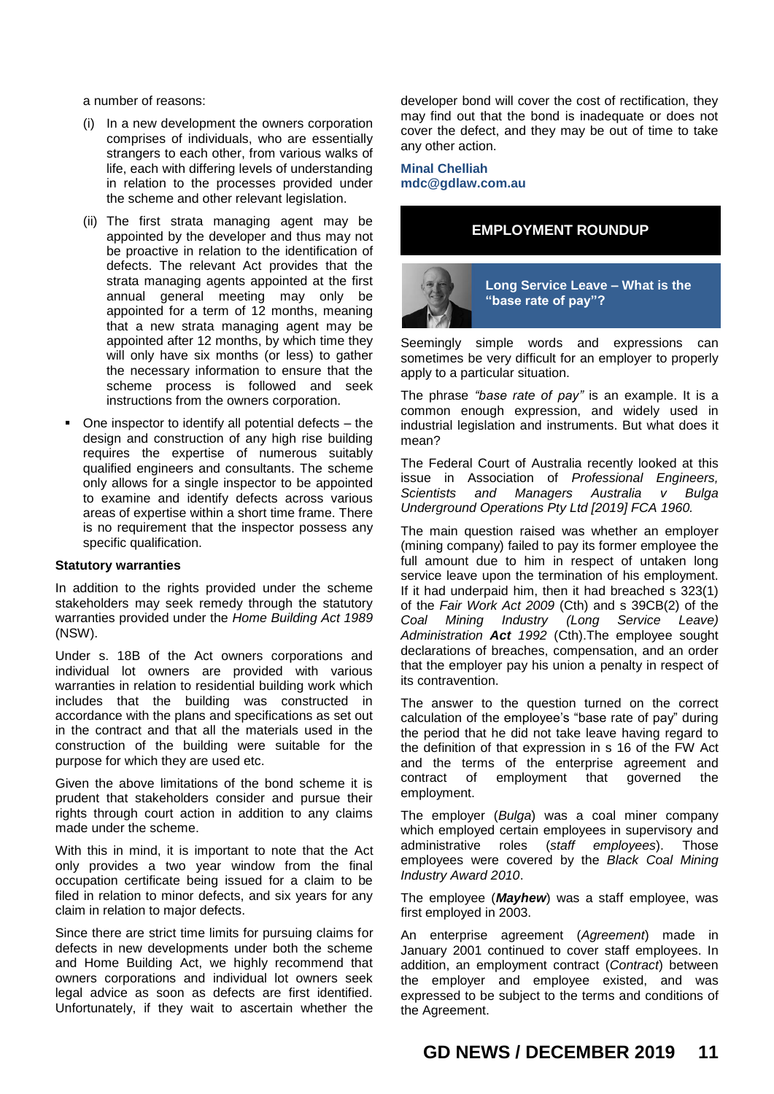a number of reasons:

- (i) In a new development the owners corporation comprises of individuals, who are essentially strangers to each other, from various walks of life, each with differing levels of understanding in relation to the processes provided under the scheme and other relevant legislation.
- (ii) The first strata managing agent may be appointed by the developer and thus may not be proactive in relation to the identification of defects. The relevant Act provides that the strata managing agents appointed at the first annual general meeting may only be appointed for a term of 12 months, meaning that a new strata managing agent may be appointed after 12 months, by which time they will only have six months (or less) to gather the necessary information to ensure that the scheme process is followed and seek instructions from the owners corporation.
- One inspector to identify all potential defects the design and construction of any high rise building requires the expertise of numerous suitably qualified engineers and consultants. The scheme only allows for a single inspector to be appointed to examine and identify defects across various areas of expertise within a short time frame. There is no requirement that the inspector possess any specific qualification.

#### **Statutory warranties**

In addition to the rights provided under the scheme stakeholders may seek remedy through the statutory warranties provided under the *Home Building Act 1989* (NSW).

Under s. 18B of the Act owners corporations and individual lot owners are provided with various warranties in relation to residential building work which includes that the building was constructed in accordance with the plans and specifications as set out in the contract and that all the materials used in the construction of the building were suitable for the purpose for which they are used etc.

Given the above limitations of the bond scheme it is prudent that stakeholders consider and pursue their rights through court action in addition to any claims made under the scheme.

With this in mind, it is important to note that the Act only provides a two year window from the final occupation certificate being issued for a claim to be filed in relation to minor defects, and six years for any claim in relation to major defects.

Since there are strict time limits for pursuing claims for defects in new developments under both the scheme and Home Building Act, we highly recommend that owners corporations and individual lot owners seek legal advice as soon as defects are first identified. Unfortunately, if they wait to ascertain whether the

developer bond will cover the cost of rectification, they may find out that the bond is inadequate or does not cover the defect, and they may be out of time to take any other action.

## **Minal Chelliah [mdc@gdlaw.com.au](mailto:mdc@gdlaw.com.au)**

# **EMPLOYMENT ROUNDUP**



Seemingly simple words and expressions can sometimes be very difficult for an employer to properly apply to a particular situation.

The phrase *"base rate of pay"* is an example. It is a common enough expression, and widely used in industrial legislation and instruments. But what does it mean?

The Federal Court of Australia recently looked at this issue in Association of *Professional Engineers, Scientists and Managers Australia v Bulga Underground Operations Pty Ltd [2019] FCA 1960.*

The main question raised was whether an employer (mining company) failed to pay its former employee the full amount due to him in respect of untaken long service leave upon the termination of his employment. If it had underpaid him, then it had breached s 323(1) of the *Fair Work Act 2009* (Cth) and s 39CB(2) of the *Coal Mining Industry (Long Service Leave) Administration Act 1992* (Cth).The employee sought declarations of breaches, compensation, and an order that the employer pay his union a penalty in respect of its contravention.

The answer to the question turned on the correct calculation of the employee's "base rate of pay" during the period that he did not take leave having regard to the definition of that expression in s 16 of the FW Act and the terms of the enterprise agreement and contract of employment that governed the employment.

The employer (*Bulga*) was a coal miner company which employed certain employees in supervisory and administrative roles (*staff employees*). Those employees were covered by the *Black Coal Mining Industry Award 2010*.

The employee (*Mayhew*) was a staff employee, was first employed in 2003.

An enterprise agreement (*Agreement*) made in January 2001 continued to cover staff employees. In addition, an employment contract (*Contract*) between the employer and employee existed, and was expressed to be subject to the terms and conditions of the Agreement.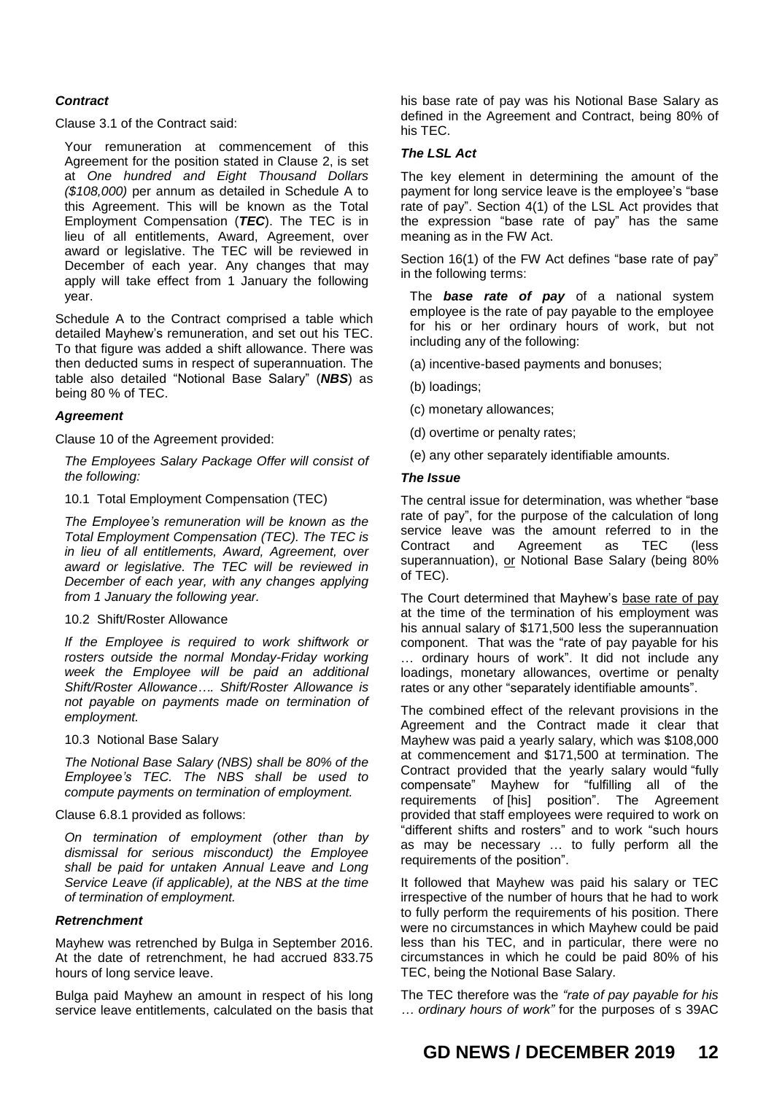## *Contract*

Clause 3.1 of the Contract said:

Your remuneration at commencement of this Agreement for the position stated in Clause 2, is set at *One hundred and Eight Thousand Dollars (\$108,000)* per annum as detailed in Schedule A to this Agreement. This will be known as the Total Employment Compensation (*TEC*). The TEC is in lieu of all entitlements, Award, Agreement, over award or legislative. The TEC will be reviewed in December of each year. Any changes that may apply will take effect from 1 January the following year.

Schedule A to the Contract comprised a table which detailed Mayhew's remuneration, and set out his TEC. To that figure was added a shift allowance. There was then deducted sums in respect of superannuation. The table also detailed "Notional Base Salary" (*NBS*) as being 80 % of TEC.

## *Agreement*

Clause 10 of the Agreement provided:

*The Employees Salary Package Offer will consist of the following:*

10.1 Total Employment Compensation (TEC)

*The Employee's remuneration will be known as the Total Employment Compensation (TEC). The TEC is in lieu of all entitlements, Award, Agreement, over award or legislative. The TEC will be reviewed in December of each year, with any changes applying from 1 January the following year.*

### 10.2 Shift/Roster Allowance

*If the Employee is required to work shiftwork or rosters outside the normal Monday-Friday working week the Employee will be paid an additional Shift/Roster Allowance…. Shift/Roster Allowance is not payable on payments made on termination of employment.*

10.3 Notional Base Salary

*The Notional Base Salary (NBS) shall be 80% of the Employee's TEC. The NBS shall be used to compute payments on termination of employment.*

### Clause 6.8.1 provided as follows:

*On termination of employment (other than by dismissal for serious misconduct) the Employee shall be paid for untaken Annual Leave and Long Service Leave (if applicable), at the NBS at the time of termination of employment.*

### *Retrenchment*

Mayhew was retrenched by Bulga in September 2016. At the date of retrenchment, he had accrued 833.75 hours of long service leave.

Bulga paid Mayhew an amount in respect of his long service leave entitlements, calculated on the basis that his base rate of pay was his Notional Base Salary as defined in the Agreement and Contract, being 80% of his TEC.

## *The LSL Act*

The key element in determining the amount of the payment for long service leave is the employee's "base rate of pay". Section 4(1) of the LSL Act provides that the expression "base rate of pay" has the same meaning as in the FW Act.

Section 16(1) of the FW Act defines "base rate of pay" in the following terms:

The *base rate of pay* of a national system employee is the rate of pay payable to the employee for his or her ordinary hours of work, but not including any of the following:

(a) incentive-based payments and bonuses;

(b) loadings;

- (c) monetary allowances;
- (d) overtime or penalty rates;
- (e) any other separately identifiable amounts.

### *The Issue*

The central issue for determination, was whether "base rate of pay", for the purpose of the calculation of long service leave was the amount referred to in the Contract and Agreement as TEC (less superannuation), or Notional Base Salary (being 80% of TEC).

The Court determined that Mayhew's base rate of pay at the time of the termination of his employment was his annual salary of \$171,500 less the superannuation component. That was the "rate of pay payable for his … ordinary hours of work". It did not include any loadings, monetary allowances, overtime or penalty rates or any other "separately identifiable amounts".

The combined effect of the relevant provisions in the Agreement and the Contract made it clear that Mayhew was paid a yearly salary, which was \$108,000 at commencement and \$171,500 at termination. The Contract provided that the yearly salary would "fully compensate" Mayhew for "fulfilling all of the requirements of [his] position". The Agreement provided that staff employees were required to work on "different shifts and rosters" and to work "such hours as may be necessary … to fully perform all the requirements of the position".

It followed that Mayhew was paid his salary or TEC irrespective of the number of hours that he had to work to fully perform the requirements of his position. There were no circumstances in which Mayhew could be paid less than his TEC, and in particular, there were no circumstances in which he could be paid 80% of his TEC, being the Notional Base Salary.

The TEC therefore was the *"rate of pay payable for his … ordinary hours of work"* for the purposes of s 39AC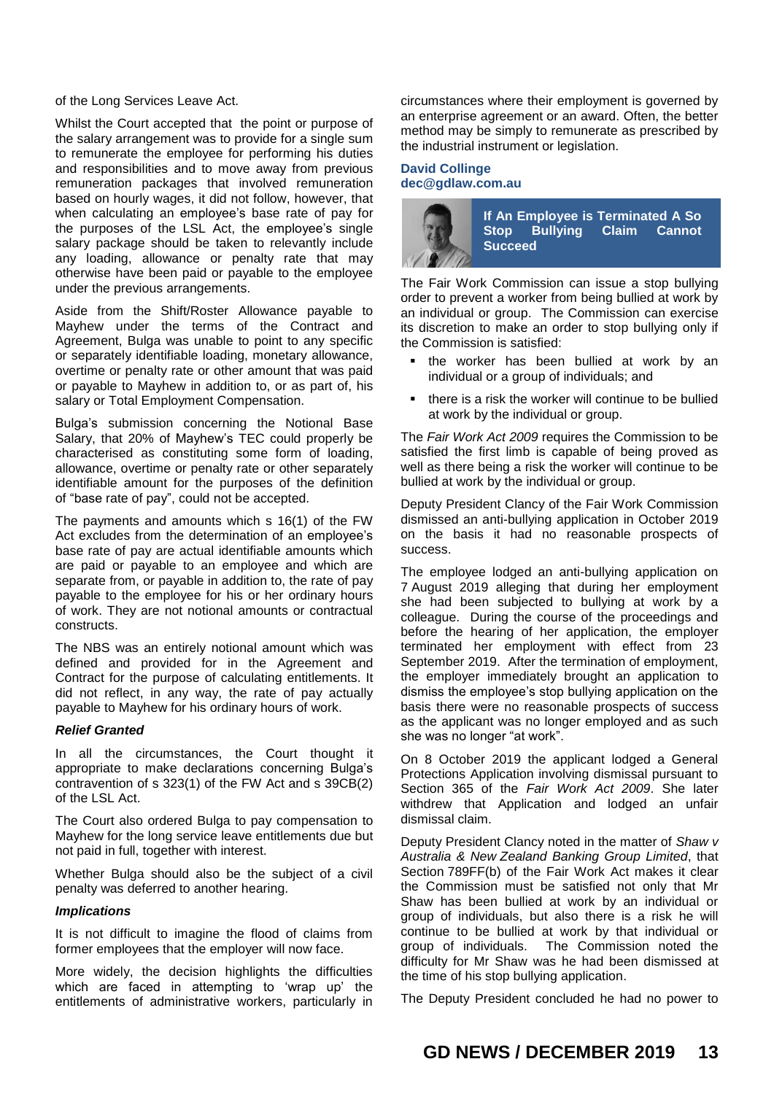of the Long Services Leave Act.

Whilst the Court accepted that the point or purpose of the salary arrangement was to provide for a single sum to remunerate the employee for performing his duties and responsibilities and to move away from previous remuneration packages that involved remuneration based on hourly wages, it did not follow, however, that when calculating an employee's base rate of pay for the purposes of the LSL Act, the employee's single salary package should be taken to relevantly include any loading, allowance or penalty rate that may otherwise have been paid or payable to the employee under the previous arrangements.

Aside from the Shift/Roster Allowance payable to Mayhew under the terms of the Contract and Agreement, Bulga was unable to point to any specific or separately identifiable loading, monetary allowance, overtime or penalty rate or other amount that was paid or payable to Mayhew in addition to, or as part of, his salary or Total Employment Compensation.

Bulga's submission concerning the Notional Base Salary, that 20% of Mayhew's TEC could properly be characterised as constituting some form of loading, allowance, overtime or penalty rate or other separately identifiable amount for the purposes of the definition of "base rate of pay", could not be accepted.

The payments and amounts which s 16(1) of the FW Act excludes from the determination of an employee's base rate of pay are actual identifiable amounts which are paid or payable to an employee and which are separate from, or payable in addition to, the rate of pay payable to the employee for his or her ordinary hours of work. They are not notional amounts or contractual constructs.

The NBS was an entirely notional amount which was defined and provided for in the Agreement and Contract for the purpose of calculating entitlements. It did not reflect, in any way, the rate of pay actually payable to Mayhew for his ordinary hours of work.

## *Relief Granted*

In all the circumstances, the Court thought it appropriate to make declarations concerning Bulga's contravention of s 323(1) of the FW Act and s 39CB(2) of the LSL Act.

The Court also ordered Bulga to pay compensation to Mayhew for the long service leave entitlements due but not paid in full, together with interest.

Whether Bulga should also be the subject of a civil penalty was deferred to another hearing.

#### *Implications*

It is not difficult to imagine the flood of claims from former employees that the employer will now face.

More widely, the decision highlights the difficulties which are faced in attempting to 'wrap up' the entitlements of administrative workers, particularly in circumstances where their employment is governed by an enterprise agreement or an award. Often, the better method may be simply to remunerate as prescribed by the industrial instrument or legislation.

## **David Collinge [dec@gdlaw.com.au](mailto:dec@gdlaw.com.au)**



The Fair Work Commission can issue a stop bullying order to prevent a worker from being bullied at work by an individual or group. The Commission can exercise its discretion to make an order to stop bullying only if the Commission is satisfied:

- the worker has been bullied at work by an individual or a group of individuals; and
- there is a risk the worker will continue to be bullied at work by the individual or group.

The *Fair Work Act 2009* requires the Commission to be satisfied the first limb is capable of being proved as well as there being a risk the worker will continue to be bullied at work by the individual or group.

Deputy President Clancy of the Fair Work Commission dismissed an anti-bullying application in October 2019 on the basis it had no reasonable prospects of success.

The employee lodged an anti-bullying application on 7 August 2019 alleging that during her employment she had been subjected to bullying at work by a colleague. During the course of the proceedings and before the hearing of her application, the employer terminated her employment with effect from 23 September 2019. After the termination of employment, the employer immediately brought an application to dismiss the employee's stop bullying application on the basis there were no reasonable prospects of success as the applicant was no longer employed and as such she was no longer "at work".

On 8 October 2019 the applicant lodged a General Protections Application involving dismissal pursuant to Section 365 of the *Fair Work Act 2009*. She later withdrew that Application and lodged an unfair dismissal claim.

Deputy President Clancy noted in the matter of *Shaw v Australia & New Zealand Banking Group Limited*, that Section 789FF(b) of the Fair Work Act makes it clear the Commission must be satisfied not only that Mr Shaw has been bullied at work by an individual or group of individuals, but also there is a risk he will continue to be bullied at work by that individual or group of individuals. The Commission noted the difficulty for Mr Shaw was he had been dismissed at the time of his stop bullying application.

The Deputy President concluded he had no power to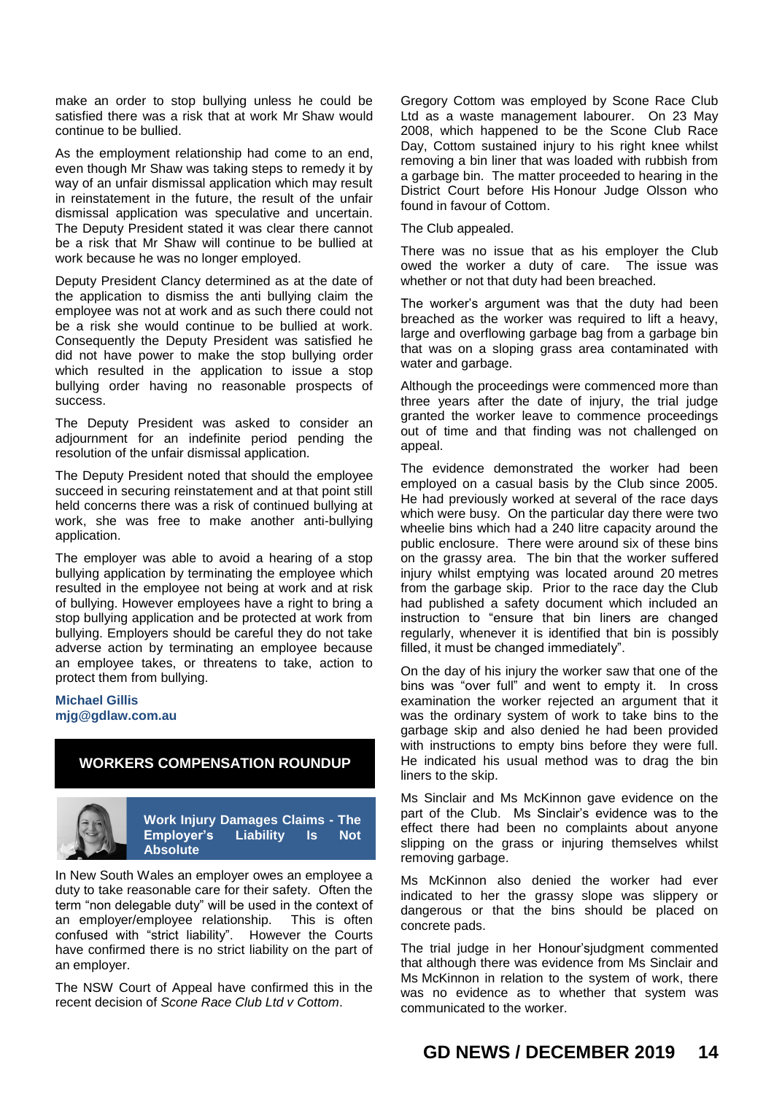make an order to stop bullying unless he could be satisfied there was a risk that at work Mr Shaw would continue to be bullied.

As the employment relationship had come to an end, even though Mr Shaw was taking steps to remedy it by way of an unfair dismissal application which may result in reinstatement in the future, the result of the unfair dismissal application was speculative and uncertain. The Deputy President stated it was clear there cannot be a risk that Mr Shaw will continue to be bullied at work because he was no longer employed.

Deputy President Clancy determined as at the date of the application to dismiss the anti bullying claim the employee was not at work and as such there could not be a risk she would continue to be bullied at work. Consequently the Deputy President was satisfied he did not have power to make the stop bullying order which resulted in the application to issue a stop bullying order having no reasonable prospects of success.

The Deputy President was asked to consider an adjournment for an indefinite period pending the resolution of the unfair dismissal application.

The Deputy President noted that should the employee succeed in securing reinstatement and at that point still held concerns there was a risk of continued bullying at work, she was free to make another anti-bullying application.

The employer was able to avoid a hearing of a stop bullying application by terminating the employee which resulted in the employee not being at work and at risk of bullying. However employees have a right to bring a stop bullying application and be protected at work from bullying. Employers should be careful they do not take adverse action by terminating an employee because an employee takes, or threatens to take, action to protect them from bullying.

### **Michael Gillis mjg@gdlaw.com.au**

# **WORKERS COMPENSATION ROUNDUP**



**Work Injury Damages Claims - The Employer's Liability Is Not Absolute**

In New South Wales an employer owes an employee a duty to take reasonable care for their safety. Often the term "non delegable duty" will be used in the context of an employer/employee relationship. This is often confused with "strict liability". However the Courts have confirmed there is no strict liability on the part of an employer.

The NSW Court of Appeal have confirmed this in the recent decision of *Scone Race Club Ltd v Cottom*.

Gregory Cottom was employed by Scone Race Club Ltd as a waste management labourer. On 23 May 2008, which happened to be the Scone Club Race Day, Cottom sustained injury to his right knee whilst removing a bin liner that was loaded with rubbish from a garbage bin. The matter proceeded to hearing in the District Court before His Honour Judge Olsson who found in favour of Cottom.

The Club appealed.

There was no issue that as his employer the Club owed the worker a duty of care. The issue was whether or not that duty had been breached.

The worker's argument was that the duty had been breached as the worker was required to lift a heavy, large and overflowing garbage bag from a garbage bin that was on a sloping grass area contaminated with water and garbage.

Although the proceedings were commenced more than three years after the date of injury, the trial judge granted the worker leave to commence proceedings out of time and that finding was not challenged on appeal.

The evidence demonstrated the worker had been employed on a casual basis by the Club since 2005. He had previously worked at several of the race days which were busy. On the particular day there were two wheelie bins which had a 240 litre capacity around the public enclosure. There were around six of these bins on the grassy area. The bin that the worker suffered injury whilst emptying was located around 20 metres from the garbage skip. Prior to the race day the Club had published a safety document which included an instruction to "ensure that bin liners are changed regularly, whenever it is identified that bin is possibly filled, it must be changed immediately".

On the day of his injury the worker saw that one of the bins was "over full" and went to empty it. In cross examination the worker rejected an argument that it was the ordinary system of work to take bins to the garbage skip and also denied he had been provided with instructions to empty bins before they were full. He indicated his usual method was to drag the bin liners to the skip.

Ms Sinclair and Ms McKinnon gave evidence on the part of the Club. Ms Sinclair's evidence was to the effect there had been no complaints about anyone slipping on the grass or injuring themselves whilst removing garbage.

Ms McKinnon also denied the worker had ever indicated to her the grassy slope was slippery or dangerous or that the bins should be placed on concrete pads.

The trial judge in her Honour'sjudgment commented that although there was evidence from Ms Sinclair and Ms McKinnon in relation to the system of work, there was no evidence as to whether that system was communicated to the worker.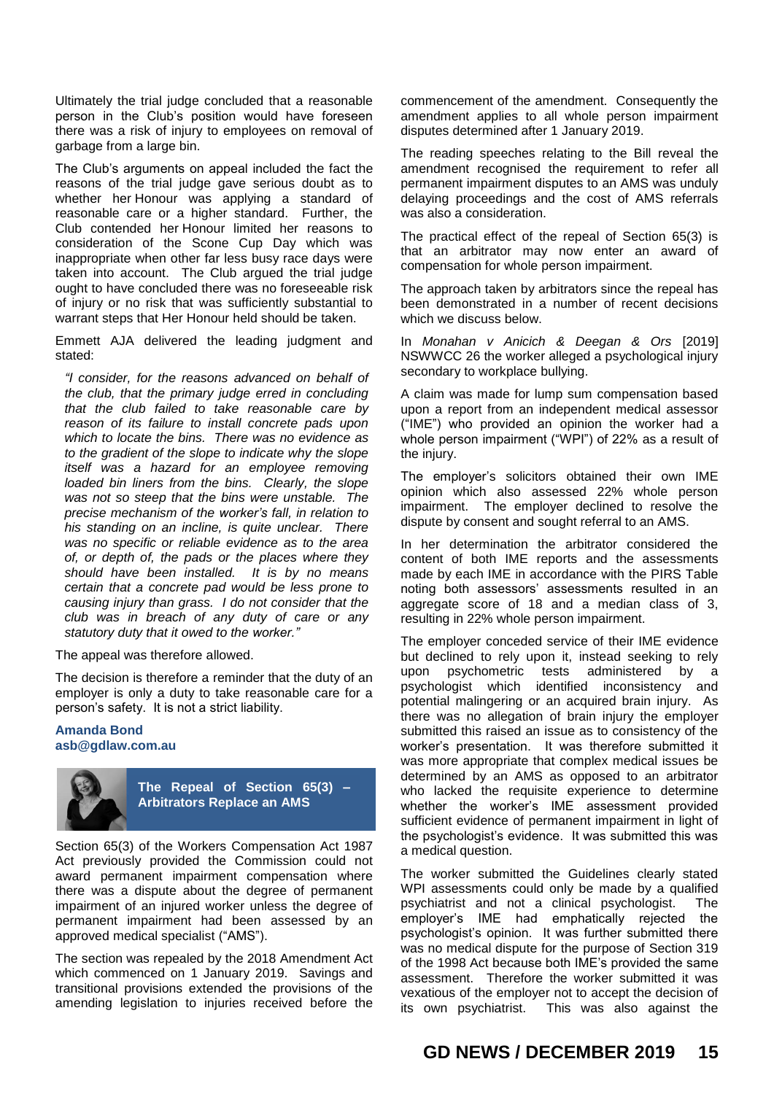Ultimately the trial judge concluded that a reasonable person in the Club's position would have foreseen there was a risk of injury to employees on removal of garbage from a large bin.

The Club's arguments on appeal included the fact the reasons of the trial judge gave serious doubt as to whether her Honour was applying a standard of reasonable care or a higher standard. Further, the Club contended her Honour limited her reasons to consideration of the Scone Cup Day which was inappropriate when other far less busy race days were taken into account. The Club argued the trial judge ought to have concluded there was no foreseeable risk of injury or no risk that was sufficiently substantial to warrant steps that Her Honour held should be taken.

Emmett AJA delivered the leading judgment and stated:

*"I consider, for the reasons advanced on behalf of the club, that the primary judge erred in concluding that the club failed to take reasonable care by reason of its failure to install concrete pads upon which to locate the bins. There was no evidence as to the gradient of the slope to indicate why the slope itself was a hazard for an employee removing loaded bin liners from the bins. Clearly, the slope was not so steep that the bins were unstable. The precise mechanism of the worker's fall, in relation to his standing on an incline, is quite unclear. There was no specific or reliable evidence as to the area of, or depth of, the pads or the places where they should have been installed. It is by no means certain that a concrete pad would be less prone to causing injury than grass. I do not consider that the club was in breach of any duty of care or any statutory duty that it owed to the worker."*

The appeal was therefore allowed.

The decision is therefore a reminder that the duty of an employer is only a duty to take reasonable care for a person's safety. It is not a strict liability.

#### **Amanda Bond asb@gdlaw.com.au**



**The Repeal of Section 65(3) – Arbitrators Replace an AMS**

Section 65(3) of the Workers Compensation Act 1987 Act previously provided the Commission could not award permanent impairment compensation where there was a dispute about the degree of permanent impairment of an injured worker unless the degree of permanent impairment had been assessed by an approved medical specialist ("AMS").

The section was repealed by the 2018 Amendment Act which commenced on 1 January 2019. Savings and transitional provisions extended the provisions of the amending legislation to injuries received before the commencement of the amendment. Consequently the amendment applies to all whole person impairment disputes determined after 1 January 2019.

The reading speeches relating to the Bill reveal the amendment recognised the requirement to refer all permanent impairment disputes to an AMS was unduly delaying proceedings and the cost of AMS referrals was also a consideration.

The practical effect of the repeal of Section 65(3) is that an arbitrator may now enter an award of compensation for whole person impairment.

The approach taken by arbitrators since the repeal has been demonstrated in a number of recent decisions which we discuss below.

In *Monahan v Anicich & Deegan & Ors* [2019] NSWWCC 26 the worker alleged a psychological injury secondary to workplace bullying.

A claim was made for lump sum compensation based upon a report from an independent medical assessor ("IME") who provided an opinion the worker had a whole person impairment ("WPI") of 22% as a result of the injury.

The employer's solicitors obtained their own IME opinion which also assessed 22% whole person impairment. The employer declined to resolve the dispute by consent and sought referral to an AMS.

In her determination the arbitrator considered the content of both IME reports and the assessments made by each IME in accordance with the PIRS Table noting both assessors' assessments resulted in an aggregate score of 18 and a median class of 3, resulting in 22% whole person impairment.

The employer conceded service of their IME evidence but declined to rely upon it, instead seeking to rely upon psychometric tests administered by a psychologist which identified inconsistency and potential malingering or an acquired brain injury. As there was no allegation of brain injury the employer submitted this raised an issue as to consistency of the worker's presentation. It was therefore submitted it was more appropriate that complex medical issues be determined by an AMS as opposed to an arbitrator who lacked the requisite experience to determine whether the worker's IME assessment provided sufficient evidence of permanent impairment in light of the psychologist's evidence. It was submitted this was a medical question.

The worker submitted the Guidelines clearly stated WPI assessments could only be made by a qualified psychiatrist and not a clinical psychologist. The employer's IME had emphatically rejected the psychologist's opinion. It was further submitted there was no medical dispute for the purpose of Section 319 of the 1998 Act because both IME's provided the same assessment. Therefore the worker submitted it was vexatious of the employer not to accept the decision of its own psychiatrist. This was also against the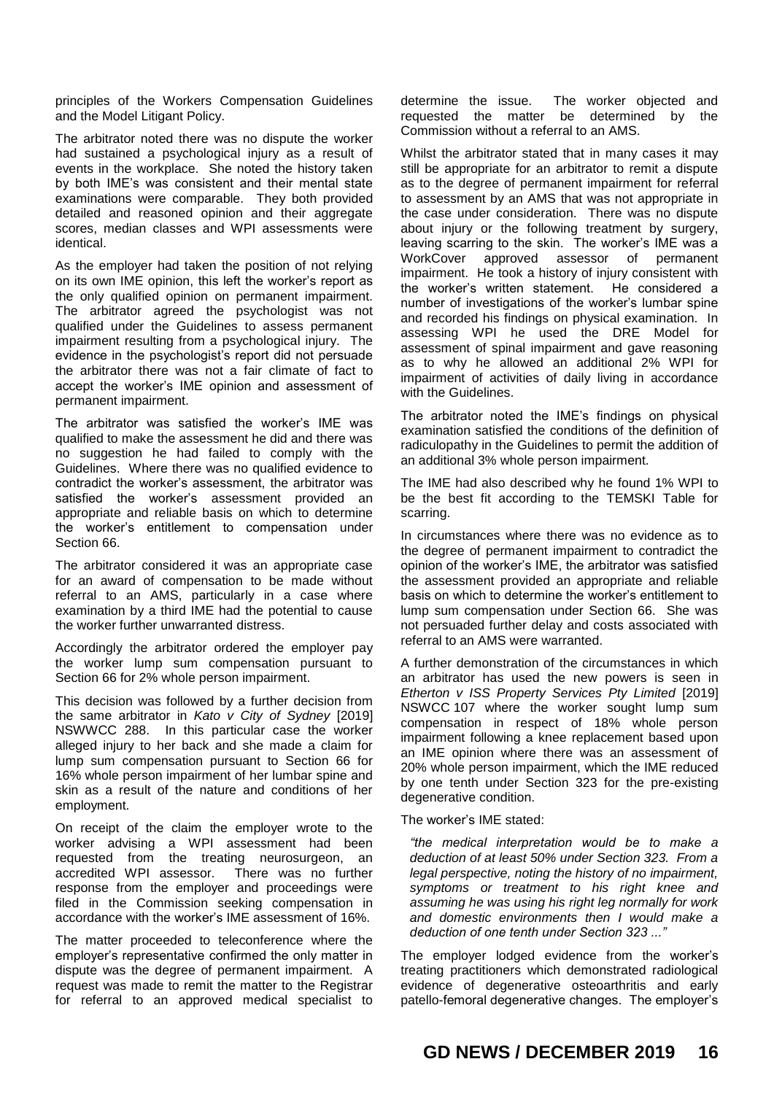principles of the Workers Compensation Guidelines and the Model Litigant Policy.

The arbitrator noted there was no dispute the worker had sustained a psychological injury as a result of events in the workplace. She noted the history taken by both IME's was consistent and their mental state examinations were comparable. They both provided detailed and reasoned opinion and their aggregate scores, median classes and WPI assessments were identical.

As the employer had taken the position of not relying on its own IME opinion, this left the worker's report as the only qualified opinion on permanent impairment. The arbitrator agreed the psychologist was not qualified under the Guidelines to assess permanent impairment resulting from a psychological injury. The evidence in the psychologist's report did not persuade the arbitrator there was not a fair climate of fact to accept the worker's IME opinion and assessment of permanent impairment.

The arbitrator was satisfied the worker's IME was qualified to make the assessment he did and there was no suggestion he had failed to comply with the Guidelines. Where there was no qualified evidence to contradict the worker's assessment, the arbitrator was satisfied the worker's assessment provided an appropriate and reliable basis on which to determine the worker's entitlement to compensation under Section 66.

The arbitrator considered it was an appropriate case for an award of compensation to be made without referral to an AMS, particularly in a case where examination by a third IME had the potential to cause the worker further unwarranted distress.

Accordingly the arbitrator ordered the employer pay the worker lump sum compensation pursuant to Section 66 for 2% whole person impairment.

This decision was followed by a further decision from the same arbitrator in *Kato v City of Sydney* [2019] NSWWCC 288. In this particular case the worker alleged injury to her back and she made a claim for lump sum compensation pursuant to Section 66 for 16% whole person impairment of her lumbar spine and skin as a result of the nature and conditions of her employment.

On receipt of the claim the employer wrote to the worker advising a WPI assessment had been requested from the treating neurosurgeon, an accredited WPI assessor. There was no further response from the employer and proceedings were filed in the Commission seeking compensation in accordance with the worker's IME assessment of 16%.

The matter proceeded to teleconference where the employer's representative confirmed the only matter in dispute was the degree of permanent impairment. A request was made to remit the matter to the Registrar for referral to an approved medical specialist to determine the issue. The worker objected and requested the matter be determined by the Commission without a referral to an AMS.

Whilst the arbitrator stated that in many cases it may still be appropriate for an arbitrator to remit a dispute as to the degree of permanent impairment for referral to assessment by an AMS that was not appropriate in the case under consideration. There was no dispute about injury or the following treatment by surgery, leaving scarring to the skin. The worker's IME was a WorkCover approved assessor of permanent impairment. He took a history of injury consistent with the worker's written statement. He considered a number of investigations of the worker's lumbar spine and recorded his findings on physical examination. In assessing WPI he used the DRE Model for assessment of spinal impairment and gave reasoning as to why he allowed an additional 2% WPI for impairment of activities of daily living in accordance with the Guidelines.

The arbitrator noted the IME's findings on physical examination satisfied the conditions of the definition of radiculopathy in the Guidelines to permit the addition of an additional 3% whole person impairment.

The IME had also described why he found 1% WPI to be the best fit according to the TEMSKI Table for scarring.

In circumstances where there was no evidence as to the degree of permanent impairment to contradict the opinion of the worker's IME, the arbitrator was satisfied the assessment provided an appropriate and reliable basis on which to determine the worker's entitlement to lump sum compensation under Section 66. She was not persuaded further delay and costs associated with referral to an AMS were warranted.

A further demonstration of the circumstances in which an arbitrator has used the new powers is seen in *Etherton v ISS Property Services Pty Limited* [2019] NSWCC 107 where the worker sought lump sum compensation in respect of 18% whole person impairment following a knee replacement based upon an IME opinion where there was an assessment of 20% whole person impairment, which the IME reduced by one tenth under Section 323 for the pre-existing degenerative condition.

The worker's IME stated:

*"the medical interpretation would be to make a deduction of at least 50% under Section 323. From a legal perspective, noting the history of no impairment, symptoms or treatment to his right knee and assuming he was using his right leg normally for work and domestic environments then I would make a deduction of one tenth under Section 323 ..."*

The employer lodged evidence from the worker's treating practitioners which demonstrated radiological evidence of degenerative osteoarthritis and early patello-femoral degenerative changes. The employer's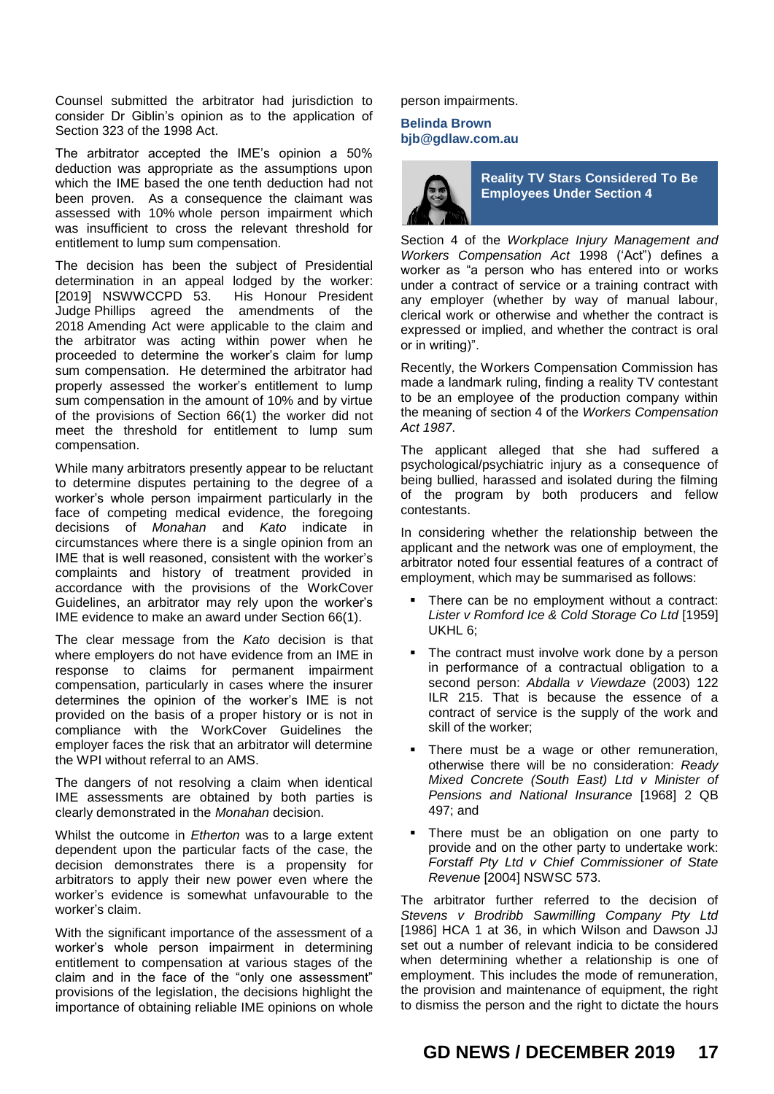Counsel submitted the arbitrator had jurisdiction to consider Dr Giblin's opinion as to the application of Section 323 of the 1998 Act.

The arbitrator accepted the IME's opinion a 50% deduction was appropriate as the assumptions upon which the IME based the one tenth deduction had not been proven. As a consequence the claimant was assessed with 10% whole person impairment which was insufficient to cross the relevant threshold for entitlement to lump sum compensation.

The decision has been the subject of Presidential determination in an appeal lodged by the worker: [2019] NSWWCCPD 53. His Honour President Judge Phillips agreed the amendments of the 2018 Amending Act were applicable to the claim and the arbitrator was acting within power when he proceeded to determine the worker's claim for lump sum compensation. He determined the arbitrator had properly assessed the worker's entitlement to lump sum compensation in the amount of 10% and by virtue of the provisions of Section 66(1) the worker did not meet the threshold for entitlement to lump sum compensation.

While many arbitrators presently appear to be reluctant to determine disputes pertaining to the degree of a worker's whole person impairment particularly in the face of competing medical evidence, the foregoing decisions of *Monahan* and *Kato* indicate in circumstances where there is a single opinion from an IME that is well reasoned, consistent with the worker's complaints and history of treatment provided in accordance with the provisions of the WorkCover Guidelines, an arbitrator may rely upon the worker's IME evidence to make an award under Section 66(1).

The clear message from the *Kato* decision is that where employers do not have evidence from an IME in response to claims for permanent impairment compensation, particularly in cases where the insurer determines the opinion of the worker's IME is not provided on the basis of a proper history or is not in compliance with the WorkCover Guidelines the employer faces the risk that an arbitrator will determine the WPI without referral to an AMS.

The dangers of not resolving a claim when identical IME assessments are obtained by both parties is clearly demonstrated in the *Monahan* decision.

Whilst the outcome in *Etherton* was to a large extent dependent upon the particular facts of the case, the decision demonstrates there is a propensity for arbitrators to apply their new power even where the worker's evidence is somewhat unfavourable to the worker's claim.

With the significant importance of the assessment of a worker's whole person impairment in determining entitlement to compensation at various stages of the claim and in the face of the "only one assessment" provisions of the legislation, the decisions highlight the importance of obtaining reliable IME opinions on whole person impairments.

## **Belinda Brown bjb@gdlaw.com.au**



**Reality TV Stars Considered To Be Employees Under Section 4**

Section 4 of the *Workplace Injury Management and Workers Compensation Act* 1998 ('Act") defines a worker as "a person who has entered into or works under a contract of service or a training contract with any employer (whether by way of manual labour, clerical work or otherwise and whether the contract is expressed or implied, and whether the contract is oral or in writing)".

Recently, the Workers Compensation Commission has made a landmark ruling, finding a reality TV contestant to be an employee of the production company within the meaning of section 4 of the *Workers Compensation Act 1987*.

The applicant alleged that she had suffered a psychological/psychiatric injury as a consequence of being bullied, harassed and isolated during the filming of the program by both producers and fellow contestants.

In considering whether the relationship between the applicant and the network was one of employment, the arbitrator noted four essential features of a contract of employment, which may be summarised as follows:

- There can be no employment without a contract: *Lister v Romford Ice & Cold Storage Co Ltd* [1959] UKHL 6;
- The contract must involve work done by a person in performance of a contractual obligation to a second person: *Abdalla v Viewdaze* (2003) 122 ILR 215. That is because the essence of a contract of service is the supply of the work and skill of the worker;
- There must be a wage or other remuneration, otherwise there will be no consideration: *Ready Mixed Concrete (South East) Ltd v Minister of Pensions and National Insurance* [1968] 2 QB 497; and
- There must be an obligation on one party to provide and on the other party to undertake work: *Forstaff Pty Ltd v Chief Commissioner of State Revenue* [2004] NSWSC 573.

The arbitrator further referred to the decision of *Stevens v Brodribb Sawmilling Company Pty Ltd* [1986] HCA 1 at 36, in which Wilson and Dawson JJ set out a number of relevant indicia to be considered when determining whether a relationship is one of employment. This includes the mode of remuneration, the provision and maintenance of equipment, the right to dismiss the person and the right to dictate the hours